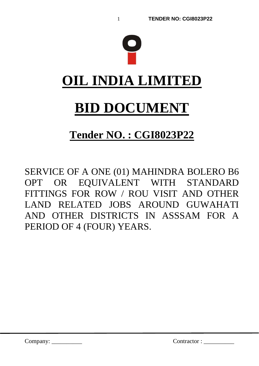

# **Tender NO. : CGI8023P22**

SERVICE OF A ONE (01) MAHINDRA BOLERO B6 OPT OR EQUIVALENT WITH STANDARD FITTINGS FOR ROW / ROU VISIT AND OTHER LAND RELATED JOBS AROUND GUWAHATI AND OTHER DISTRICTS IN ASSSAM FOR A PERIOD OF 4 (FOUR) YEARS.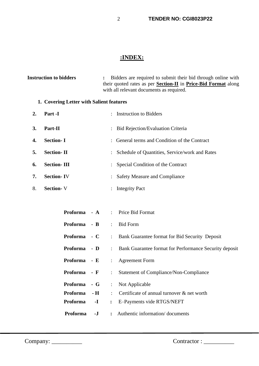# **:INDEX:**

| <b>Instruction to bidders</b> | Bidders are required to submit their bid through online with                 |
|-------------------------------|------------------------------------------------------------------------------|
|                               | their quoted rates as per <b>Section-II</b> in <b>Price-Bid Format</b> along |
|                               | with all relevant documents as required.                                     |

# **1. Covering Letter with Salient features**

| 2.        | Part -I            |                      | Instruction to Bidders                         |
|-----------|--------------------|----------------------|------------------------------------------------|
| <b>3.</b> | Part-II            |                      | : Bid Rejection/Evaluation Criteria            |
| 4.        | <b>Section-I</b>   |                      | General terms and Condition of the Contract    |
| 5.        | <b>Section-II</b>  | $\ddot{\phantom{0}}$ | Schedule of Quantities, Service/work and Rates |
| 6.        | <b>Section-III</b> |                      | Special Condition of the Contract              |
| 7.        | <b>Section-IV</b>  | $\ddot{\phantom{0}}$ | <b>Safety Measure and Compliance</b>           |
| 8.        | <b>Section-V</b>   |                      | <b>Integrity Pact</b>                          |

|              | <b>Proforma</b> - A : Price Bid Format                                              |
|--------------|-------------------------------------------------------------------------------------|
|              | <b>Proforma</b> - <b>B</b> : Bid Form                                               |
|              | <b>Proforma</b> - C : Bank Guarantee format for Bid Security Deposit                |
|              | <b>Proforma</b> - <b>D</b> : Bank Guarantee format for Performance Security deposit |
|              | <b>Proforma</b> - <b>E</b> : Agreement Form                                         |
|              | <b>Proforma</b> - F : Statement of Compliance/Non-Compliance                        |
|              | <b>Proforma</b> - G : Not Applicable                                                |
|              | <b>Proforma</b> - $H$ : Certificate of annual turnover $\&$ net worth               |
| Proforma - I | : E-Payments vide RTGS/NEFT                                                         |
|              | <b>Proforma</b> - <b>J</b> : Authentic information/documents                        |
|              |                                                                                     |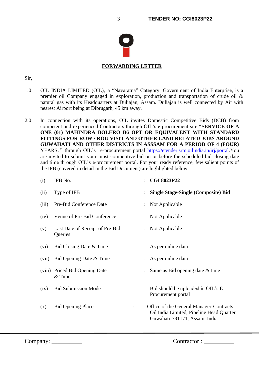

# **FORWARDING LETTER**

#### Sir,

- 1.0 OIL INDIA LIMITED (OIL), a "Navaratna" Category, Government of India Enterprise, is a premier oil Company engaged in exploration, production and transportation of crude oil & natural gas with its Headquarters at Duliajan, Assam. Duliajan is well connected by Air with nearest Airport being at Dibrugarh, 45 km away.
- 2.0 In connection with its operations, OIL invites Domestic Competitive Bids (DCB) from competent and experienced Contractors through OIL's e-procurement site **"SERVICE OF A ONE (01) MAHINDRA BOLERO B6 OPT OR EQUIVALENT WITH STANDARD FITTINGS FOR ROW / ROU VISIT AND OTHER LAND RELATED JOBS AROUND GUWAHATI AND OTHER DISTRICTS IN ASSSAM FOR A PERIOD OF 4 (FOUR)** YEARS." through OIL's e-procurement portal [https://etender.srm.oilindia.in/irj/portal.](https://etender.srm.oilindia.in/irj/portal)You are invited to submit your most competitive bid on or before the scheduled bid closing date and time through OIL's e-procurement portal. For your ready reference, few salient points of the IFB (covered in detail in the Bid Document) are highlighted below:

| (i)   | IFB No.                                    | $\ddot{\phantom{a}}$ | <b>CGI 8023P22</b>                                                                                                   |
|-------|--------------------------------------------|----------------------|----------------------------------------------------------------------------------------------------------------------|
| (ii)  | Type of IFB                                |                      | <b>Single Stage-Single (Composite) Bid</b>                                                                           |
| (iii) | Pre-Bid Conference Date                    |                      | Not Applicable                                                                                                       |
| (iv)  | Venue of Pre-Bid Conference                |                      | Not Applicable                                                                                                       |
| (v)   | Last Date of Receipt of Pre-Bid<br>Queries |                      | Not Applicable                                                                                                       |
| (vi)  | Bid Closing Date & Time                    |                      | As per online data                                                                                                   |
| (vii) | Bid Opening Date & Time                    |                      | As per online data                                                                                                   |
|       | (viii) Priced Bid Opening Date<br>& Time   |                      | Same as Bid opening date $&$ time                                                                                    |
| (ix)  | <b>Bid Submission Mode</b>                 |                      | Bid should be uploaded in OIL's E-<br>Procurement portal                                                             |
| (x)   | <b>Bid Opening Place</b><br>÷              |                      | Office of the General Manager-Contracts<br>Oil India Limited, Pipeline Head Quarter<br>Guwahati-781171, Assam, India |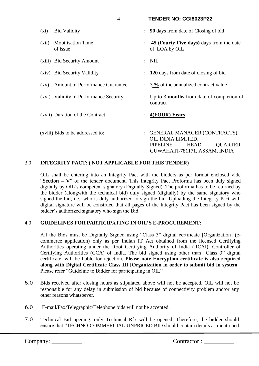|                    | $\overline{4}$                         |                | <b>TENDER NO: CGI8023P22</b>                                                                                                            |
|--------------------|----------------------------------------|----------------|-----------------------------------------------------------------------------------------------------------------------------------------|
| $(x_i)$            | <b>Bid Validity</b>                    |                | 90 days from date of Closing of bid                                                                                                     |
| (xii)              | <b>Mobilisation Time</b><br>of issue   | $\ddot{\cdot}$ | 45 (Fourty Five days) days from the date<br>of LOA by OIL                                                                               |
|                    | (xiii) Bid Security Amount             |                | $:$ NIL                                                                                                                                 |
|                    | (xiv) Bid Security Validity            |                | 120 days from date of closing of bid                                                                                                    |
| $\left( xy\right)$ | <b>Amount of Performance Guarantee</b> |                | $3\frac{9}{0}$ of the annualized contract value                                                                                         |
|                    | (xvi) Validity of Performance Security |                | Up to 3 months from date of completion of<br>contract                                                                                   |
|                    | (xvii) Duration of the Contract        |                | 4(FOUR) Years                                                                                                                           |
|                    | (xviii) Bids to be addressed to:       |                | <b>GENERAL MANAGER (CONTRACTS),</b><br>OIL INDIA LIMITED,<br><b>QUARTER</b><br>PIPELINE<br><b>HEAD</b><br>GUWAHATI-781171, ASSAM, INDIA |

#### 3.0 **INTEGRITY PACT: ( NOT APPLICABLE FOR THIS TENDER)**

OIL shall be entering into an Integrity Pact with the bidders as per format enclosed vide "**Section – V**" of the tender document. This Integrity Pact Proforma has been duly signed digitally by OIL's competent signatory (Digitally Signed). The proforma has to be returned by the bidder (alongwith the technical bid) duly signed (digitally) by the same signatory who signed the bid, i.e., who is duly authorized to sign the bid. Uploading the Integrity Pact with digital signature will be construed that all pages of the Integrity Pact has been signed by the bidder's authorized signatory who sign the Bid.

#### 4.0 **GUIDELINES FOR PARTICIPATING IN OIL'S E-PROCUREMENT:**

All the Bids must be Digitally Signed using "Class 3" digital certificate [Organization] (ecommerce application) only as per Indian IT Act obtained from the licensed Certifying Authorities operating under the Root Certifying Authority of India (RCAI), Controller of Certifying Authorities (CCA) of India. The bid signed using other than "Class 3" digital certificate, will be liable for rejection. **Please note Encryption certificate is also required along with Digital Certificate Class III [Organization in order to submit bid in system** . Please refer "Guideline to Bidder for participating in OIL"

- 5.0 Bids received after closing hours as stipulated above will not be accepted. OIL will not be responsible for any delay in submission of bid because of connectivity problem and/or any other reasons whatsoever.
- 6.0 E-mail/Fax/Telegraphic/Telephone bids will not be accepted.
- 7.0 Technical Bid opening, only Technical Rfx will be opened. Therefore, the bidder should ensure that "TECHNO-COMMERCIAL UNPRICED BID should contain details as mentioned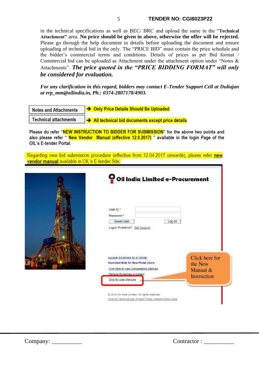in the technical specifications as well as BEC/ BRC and upload the same in the "**Technical Attachment"** area. **No price should be given in above, otherwise the offer will be rejected.** Please go through the help document in details before uploading the document and ensure uploading of technical bid in the only. The "PRICE BID" must contain the price schedule and the bidder's commercial terms and conditions. Details of prices as per Bid format / Commercial bid can be uploaded as Attachment under the attachment option under "Notes & Attachments". *The price quoted in the "PRICE BIDDING FORMAT" will only be considered for evaluation.*

*For any clarification in this regard, bidders may contact E-Tender Support Cell at Duliajan at erp\_mm@oilindia.in, Ph.: 0374-2807178/4903.*

| Notes and Attachments | <b>EXECUTE:</b> Only Price Details Should Be Uploaded          |
|-----------------------|----------------------------------------------------------------|
| Technical attachments | $\rightarrow$ All technical bid documents except price details |

Please do refer "NEW INSTRUCTION TO BIDDER FOR SUBMISSION" for the above two points and also please refer "New Vendor Manual (effective 12.0.2017) " available in the login Page of the **OIL's E-tender Portal.** 

Regarding new bid submission procedure (effective from 12.04.2017 onwards), please refer new vendor manual available in OIL's E-tender Site:

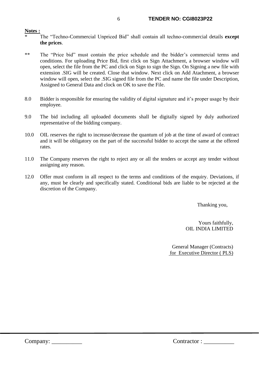#### **Notes :**

- \* The "Techno-Commercial Unpriced Bid" shall contain all techno-commercial details **except the prices**.
- \*\* The "Price bid" must contain the price schedule and the bidder's commercial terms and conditions. For uploading Price Bid, first click on Sign Attachment, a browser window will open, select the file from the PC and click on Sign to sign the Sign. On Signing a new file with extension .SIG will be created. Close that window. Next click on Add Atachment, a browser window will open, select the .SIG signed file from the PC and name the file under Description, Assigned to General Data and clock on OK to save the File.
- 8.0 Bidder is responsible for ensuring the validity of digital signature and it's proper usage by their employee.
- 9.0 The bid including all uploaded documents shall be digitally signed by duly authorized representative of the bidding company.
- 10.0 OIL reserves the right to increase/decrease the quantum of job at the time of award of contract and it will be obligatory on the part of the successful bidder to accept the same at the offered rates.
- 11.0 The Company reserves the right to reject any or all the tenders or accept any tender without assigning any reason.
- 12.0 Offer must conform in all respect to the terms and conditions of the enquiry. Deviations, if any, must be clearly and specifically stated. Conditional bids are liable to be rejected at the discretion of the Company.

Thanking you,

Yours faithfully, OIL INDIA LIMITED

General Manager (Contracts) for Executive Director ( PLS)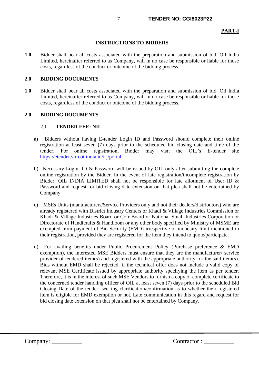#### **PART-I**

#### **INSTRUCTIONS TO BIDDERS**

**1.0** Bidder shall bear all costs associated with the preparation and submission of bid. Oil India Limited, hereinafter referred to as Company, will in no case be responsible or liable for those costs, regardless of the conduct or outcome of the bidding process.

#### **2.0 BIDDING DOCUMENTS**

**1.0** Bidder shall bear all costs associated with the preparation and submission of bid. Oil India Limited, hereinafter referred to as Company, will in no case be responsible or liable for those costs, regardless of the conduct or outcome of the bidding process.

#### **2.0 BIDDING DOCUMENTS**

#### 2.1 **TENDER FEE: NIL**

- a) Bidders without having E-tender Login ID and Password should complete their online registration at least seven (7) days prior to the scheduled bid closing date and time of the tender. For online registration, Bidder may visit the OIL's E-tender site <https://etender.srm.oilindia.in/irj/portal>
- b) Necessary Login ID & Password will be issued by OIL only after submitting the complete online registration by the Bidder. In the event of late registration/incomplete registration by Bidder, OIL INDIA LIMITED shall not be responsible for late allotment of User ID  $\&$ Password and request for bid closing date extension on that plea shall not be entertained by Company.
- c) MSEs Units (manufacturers/Service Providers only and not their dealers/distributors) who are already registered with District Industry Centers or Khadi & Village Industries Commission or Khadi & Village Industries Board or Coir Board or National Small Industries Corporation or Directorate of Handicrafts & Handloom or any other body specified by Ministry of MSME are exempted from payment of Bid Security (EMD) irrespective of monetary limit mentioned in their registration, provided they are registered for the item they intend to quote/participate.
- d) For availing benefits under Public Procurement Policy (Purchase preference & EMD exemption), the interested MSE Bidders must ensure that they are the manufacturer/ service provider of tendered item(s) and registered with the appropriate authority for the said item(s). Bids without EMD shall be rejected, if the technical offer does not include a valid copy of relevant MSE Certificate issued by appropriate authority specifying the item as per tender. Therefore, it is in the interest of such MSE Vendors to furnish a copy of complete certificate to the concerned tender handling officer of OIL at least seven (7) days prior to the scheduled Bid Closing Date of the tender; seeking clarification/confirmation as to whether their registered item is eligible for EMD exemption or not. Late communication in this regard and request for bid closing date extension on that plea shall not be entertained by Company.

Company: \_\_\_\_\_\_\_\_\_\_ Contractor : \_\_\_\_\_\_\_\_\_\_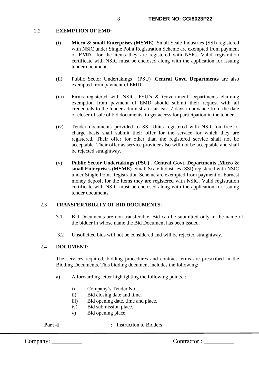# 2.2 **EXEMPTION OF EMD:**

- (i) **Micro & small Enterprises (MSME)** ,Small Scale Industries (SSI) registered with NSIC under Single Point Registration Scheme are exempted from payment of **EMD** for the items they are registered with NSIC. Valid registration certificate with NSIC must be enclosed along with the application for issuing tender documents.
- (ii) Public Sector Undertakings (PSU) ,**Central Govt. Departments** are also exempted from payment of EMD.
- (iii) Firms registered with NSIC, PSU's & Government Departments claiming exemption from payment of EMD should submit their request with all credentials to the tender administrator at least 7 days in advance from the date of closer of sale of bid documents, to get access for participation in the tender.
- (iv) Tender documents provided to SSI Units registered with NSIC on free of charge basis shall submit their offer for the service for which they are registered. Their offer for other than the registered service shall not be acceptable. Their offer as service provider also will not be acceptable and shall be rejected straightway.
- (v) **Public Sector Undertakings (PSU) , Central Govt. Departments ,Micro & small Enterprises (MSME)** ,Small Scale Industries (SSI) registered with NSIC under Single Point Registration Scheme are exempted from payment of Earnest money deposit for the items they are registered with NSIC. Valid registration certificate with NSIC must be enclosed along with the application for issuing tender documents

# 2.3 **TRANSFERABILITY OF BID DOCUMENTS**:

- 3.1 Bid Documents are non-transferable. Bid can be submitted only in the name of the bidder in whose name the Bid Document has been issued.
- 3.2 Unsolicited bids will not be considered and will be rejected straightway.

# 2.4 **DOCUMENT:**

The services required, bidding procedures and contract terms are prescribed in the Bidding Documents. This bidding document includes the following:

- a) A forwarding letter highlighting the following points. :
	- i) Company's Tender No.
	- ii) Bid closing date and time.
	- iii) Bid opening date, time and place.
	- iv) Bid submission place.
	- v) Bid opening place.

**Part -I** : Instruction to Bidders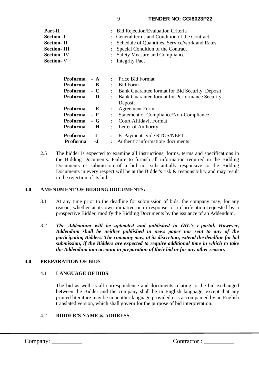| <b>Part-II</b>     | : Bid Rejection/Evaluation Criteria              |
|--------------------|--------------------------------------------------|
| <b>Section-I</b>   | : General terms and Condition of the Contract    |
| <b>Section-II</b>  | : Schedule of Quantities, Service/work and Rates |
| <b>Section-III</b> | : Special Condition of the Contract              |
| <b>Section-IV</b>  | : Safety Measure and Compliance                  |
| <b>Section-V</b>   | $:$ Integrity Pact                               |

| $- A$        | $\mathbb{R}^{\mathbb{Z}}$ | <b>Price Bid Format</b>                        |
|--------------|---------------------------|------------------------------------------------|
| Proforma - B | $\mathcal{L}$             | <b>Bid Form</b>                                |
| Proforma - C |                           | Bank Guarantee format for Bid Security Deposit |
| Proforma - D |                           | Bank Guarantee format for Performance Security |
|              |                           | Deposit                                        |
| $-E$         |                           | <b>Agreement Form</b>                          |
| Proforma - F | ÷                         | <b>Statement of Compliance/Non-Compliance</b>  |
| Proforma - G | $\mathcal{L}$             | <b>Court Affidavit Format</b>                  |
| – H          |                           | : Letter of Authority                          |
| -1           |                           | : E-Payments vide RTGS/NEFT                    |
| -.T          |                           | Authentic information/documents                |
|              |                           | $\ddot{\cdot}$                                 |

2.5 The bidder is expected to examine all instructions, forms, terms and specifications in the Bidding Documents. Failure to furnish all information required in the Bidding Documents or submission of a bid not substantially responsive to the Bidding Documents in every respect will be at the Bidder's risk & responsibility and may result in the rejection of its bid.

# **3.0 AMENDMENT OF BIDDING DOCUMENTS:**

- 3.1 At any time prior to the deadline for submission of bids, the company may, for any reason, whether at its own initiative or in response to a clarification requested by a prospective Bidder, modify the Bidding Documents by the issuance of an Addendum.
- 3.2 *The Addendum will be uploaded and published in OIL's e-portal. However, Addendum shall be neither published in news paper nor sent to any of the participating Bidders. The company may, at its discretion, extend the deadline for bid submission, if the Bidders are expected to require additional time in which to take the Addendum into account in preparation of their bid or for any other reason.*

# **4.0 PREPARATION OF BIDS**

# 4.1 **LANGUAGE OF BIDS**:

The bid as well as all correspondence and documents relating to the bid exchanged between the Bidder and the company shall be in English language, except that any printed literature may be in another language provided it is accompanied by an English translated version, which shall govern for the purpose of bid interpretation.

# 4.2 **BIDDER'S NAME & ADDRESS**: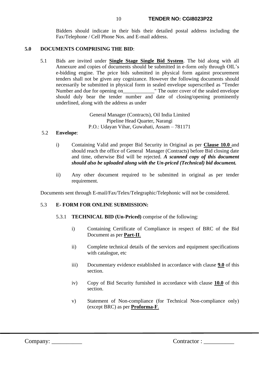Bidders should indicate in their bids their detailed postal address including the Fax/Telephone / Cell Phone Nos. and E-mail address.

## **5.0 DOCUMENTS COMPRISING THE BID**:

5.1 Bids are invited under **Single Stage Single Bid System**. The bid along with all Annexure and copies of documents should be submitted in e-form only through OIL's e-bidding engine. The price bids submitted in physical form against procurement tenders shall not be given any cognizance. However the following documents should necessarily be submitted in physical form in sealed envelope superscribed as "Tender Number and due for opening on\_\_\_\_\_\_\_\_\_\_\_\_\_\_\_\_\_\_\_\_\_" The outer cover of the sealed envelope should duly bear the tender number and date of closing/opening prominently underlined, along with the address as under

> General Manager (Contracts), Oil India Limited Pipeline Head Quarter, Narangi P.O.: Udayan Vihar, Guwahati, Assam – 781171

#### 5.2 **Envelope**:

- i) Containing Valid and proper Bid Security in Original as per **Clause 10.0** and should reach the office of General Manager (Contracts) before Bid closing date and time, otherwise Bid will be rejected. *A scanned copy of this document should also be uploaded along with the Un-priced (Technical) bid document.*
- ii) Any other document required to be submitted in original as per tender requirement.

Documents sent through E-mail/Fax/Telex/Telegraphic/Telephonic will not be considered.

# 5.3 **E- FORM FOR ONLINE SUBMISSION:**

- 5.3.1 **TECHNICAL BID (Un-Priced)** comprise of the following:
	- i) Containing Certificate of Compliance in respect of BRC of the Bid Document as per **Part-II**.
	- ii) Complete technical details of the services and equipment specifications with catalogue, etc
	- iii) Documentary evidence established in accordance with clause **9.0** of this section.
	- iv) Copy of Bid Security furnished in accordance with clause **10.0** of this section.
	- v) Statement of Non-compliance (for Technical Non-compliance only) (except BRC) as per **Proforma-F**.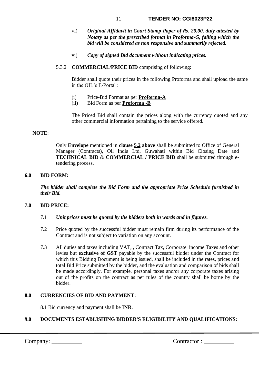- vi) *Original Affidavit in Court Stamp Paper of Rs. 20.00, duly attested by Notary as per the prescribed format in Proforma-G, failing which the bid will be considered as non responsive and summarily rejected.*
- vi) *Copy of signed Bid document without indicating prices.*

# 5.3.2 **COMMERCIAL/PRICE BID** comprising of following:

Bidder shall quote their prices in the following Proforma and shall upload the same in the OIL's E-Portal :

- (i) Price-Bid Format as per **Proforma-A**
- (ii) Bid Form as per **Proforma -B**

The Priced Bid shall contain the prices along with the currency quoted and any other commercial information pertaining to the service offered.

#### **NOTE**:

Only **Envelope** mentioned in **clause 5.2 above** shall be submitted to Office of General Manager (Contracts), Oil India Ltd, Guwahati within Bid Closing Date and **TECHNICAL BID** & **COMMERCIAL / PRICE BID** shall be submitted through etendering process.

#### **6.0 BID FORM:**

*The bidder shall complete the Bid Form and the appropriate Price Schedule furnished in their Bid.*

# **7.0 BID PRICE:**

- 7.1 *Unit prices must be quoted by the bidders both in words and in figures.*
- 7.2 Price quoted by the successful bidder must remain firm during its performance of the Contract and is not subject to variation on any account.
- 7.3 All duties and taxes including VAT, , Contract Tax, Corporate income Taxes and other levies but **exclusive of GST** payable by the successful bidder under the Contract for which this Bidding Document is being issued, shall be included in the rates, prices and total Bid Price submitted by the bidder, and the evaluation and comparison of bids shall be made accordingly. For example, personal taxes and/or any corporate taxes arising out of the profits on the contract as per rules of the country shall be borne by the bidder.

# **8.0 CURRENCIES OF BID AND PAYMENT:**

8.1 Bid currency and payment shall be **INR**.

# **9.0 DOCUMENTS ESTABLISHING BIDDER'S ELIGIBILITY AND QUALIFICATIONS:**

| Contractor: |  |
|-------------|--|
|-------------|--|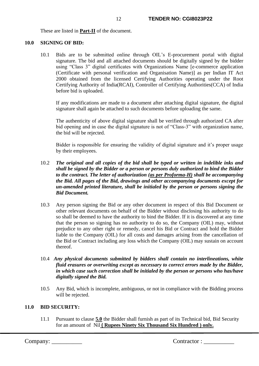These are listed in **Part-II** of the document.

#### **10.0 SIGNING OF BID:**

10.1 Bids are to be submitted online through OIL's E-procurement portal with digital signature. The bid and all attached documents should be digitally signed by the bidder using "Class 3" digital certificates with Organizations Name [e-commerce application (Certificate with personal verification and Organisation Name)] as per Indian IT Act 2000 obtained from the licensed Certifying Authorities operating under the Root Certifying Authority of India(RCAI), Controller of Certifying Authorities(CCA) of India before bid is uploaded.

If any modifications are made to a document after attaching digital signature, the digital signature shall again be attached to such documents before uploading the same.

The authenticity of above digital signature shall be verified through authorized CA after bid opening and in case the digital signature is not of "Class-3" with organization name, the bid will be rejected.

Bidder is responsible for ensuring the validity of digital signature and it's proper usage by their employees.

- 10.2 *The original and all copies of the bid shall be typed or written in indelible inks and shall be signed by the Bidder or a person or persons duly authorized to bind the Bidder to the contract. The letter of authorization (as per Proforma-H) shall be accompanying the Bid. All pages of the Bid, drawings and other accompanying documents except for un-amended printed literature, shall be initialed by the person or persons signing the Bid Document.*
- 10.3 Any person signing the Bid or any other document in respect of this Bid Document or other relevant documents on behalf of the Bidder without disclosing his authority to do so shall be deemed to have the authority to bind the Bidder. If it is discovered at any time that the person so signing has no authority to do so, the Company (OIL) may, without prejudice to any other right or remedy, cancel his Bid or Contract and hold the Bidder liable to the Company (OIL) for all costs and damages arising from the cancellation of the Bid or Contract including any loss which the Company (OIL) may sustain on account thereof.
- 10.4 *Any physical documents submitted by bidders shall contain no interlineations, white fluid erasures or overwriting except as necessary to correct errors made by the Bidder, in which case such correction shall be initialed by the person or persons who has/have digitally signed the Bid.*
- 10.5 Any Bid, which is incomplete, ambiguous, or not in compliance with the Bidding process will be rejected.

#### **11.0 BID SECURITY:**

11.1 Pursuant to clause **5.0** the Bidder shall furnish as part of its Technical bid, Bid Security for an amount of Nil **( Rupees Ninety Six Thousand Six Hundred ) only.**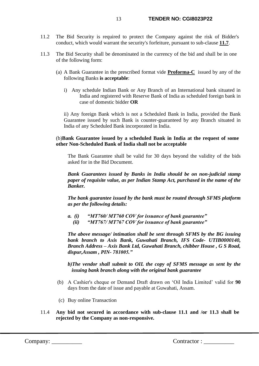- 11.2 The Bid Security is required to protect the Company against the risk of Bidder's conduct, which would warrant the security's forfeiture, pursuant to sub-clause **11.7**.
- 11.3 The Bid Security shall be denominated in the currency of the bid and shall be in one of the following form:
	- (a) A Bank Guarantee in the prescribed format vide **Proforma-C** issued by any of the following Banks **is acceptable**:
		- i) Any schedule Indian Bank or Any Branch of an International bank situated in India and registered with Reserve Bank of India as scheduled foreign bank in case of domestic bidder **OR**

ii) Any foreign Bank which is not a Scheduled Bank in India, provided the Bank Guarantee issued by such Bank is counter-guaranteed by any Branch situated in India of any Scheduled Bank incorporated in India.

(b)**Bank Guarantee issued by a scheduled Bank in India at the request of some other Non-Scheduled Bank of India shall not be acceptable**

The Bank Guarantee shall be valid for 30 days beyond the validity of the bids asked for in the Bid Document.

*Bank Guarantees issued by Banks in India should be on non-judicial stamp paper of requisite value, as per Indian Stamp Act, purchased in the name of the Banker.*

*The bank guarantee issued by the bank must be routed through SFMS platform as per the following details:*

- *a. (i) "MT760/ MT760 COV for issuance of bank guarantee"*
	- *(ii) "MT767/ MT767 COV for issuance of bank guarantee"*

*The above message/ intimation shall be sent through SFMS by the BG issuing bank branch to Axis Bank, Guwahati Branch, IFS Code- UTIB0000140, Branch Address – Axis Bank Ltd, Guwahati Branch, chibber House , G S Road, dispur,Assam , PIN- 781005."*

*b)The vendor shall submit to OIL the copy of SFMS message as sent by the issuing bank branch along with the original bank guarantee*

- (b) A Cashier's cheque or Demand Draft drawn on 'Oil India Limited' valid for **90** days from the date of issue and payable at Guwahati, Assam.
- (c) Buy online Transaction
- 11.4 **Any bid not secured in accordance with sub-clause 11.1 and /or 11.3 shall be rejected by the Company as non-responsive.**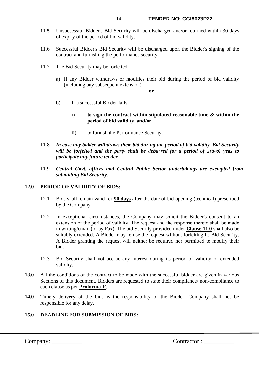- 11.5 Unsuccessful Bidder's Bid Security will be discharged and/or returned within 30 days of expiry of the period of bid validity.
- 11.6 Successful Bidder's Bid Security will be discharged upon the Bidder's signing of the contract and furnishing the performance security.
- 11.7 The Bid Security may be forfeited:
	- a) If any Bidder withdraws or modifies their bid during the period of bid validity (including any subsequent extension)

**or**

- b) If a successful Bidder fails:
	- i) **to sign the contract within stipulated reasonable time & within the period of bid validity, and/or**
	- ii) to furnish the Performance Security.
- 11.8 *In case any bidder withdraws their bid during the period of bid validity, Bid Security will be forfeited and the party shall be debarred for a period of 2(two) yeas to participate any future tender.*
- 11.9 *Central Govt. offices and Central Public Sector undertakings are exempted from submitting Bid Security.*

#### **12.0 PERIOD OF VALIDITY OF BIDS:**

- 12.1 Bids shall remain valid for **90 days** after the date of bid opening (technical) prescribed by the Company.
- 12.2 In exceptional circumstances, the Company may solicit the Bidder's consent to an extension of the period of validity. The request and the response thereto shall be made in writing/email (or by Fax). The bid Security provided under **Clause 11.0** shall also be suitably extended. A Bidder may refuse the request without forfeiting its Bid Security. A Bidder granting the request will neither be required nor permitted to modify their bid.
- 12.3 Bid Security shall not accrue any interest during its period of validity or extended validity.
- **13.0** All the conditions of the contract to be made with the successful bidder are given in various Sections of this document. Bidders are requested to state their compliance/ non-compliance to each clause as per **Proforma-F**.
- **14.0** Timely delivery of the bids is the responsibility of the Bidder. Company shall not be responsible for any delay.

# **15.0 DEADLINE FOR SUBMISSION OF BIDS:**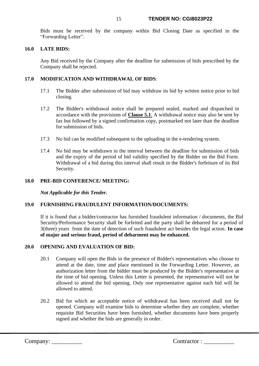Bids must be received by the company within Bid Closing Date as specified in the "Forwarding Letter".

#### **16.0 LATE BIDS:**

Any Bid received by the Company after the deadline for submission of bids prescribed by the Company shall be rejected.

#### **17.0 MODIFICATION AND WITHDRAWAL OF BIDS**:

- 17.1 The Bidder after submission of bid may withdraw its bid by written notice prior to bid closing.
- 17.2 The Bidder's withdrawal notice shall be prepared sealed, marked and dispatched in accordance with the provisions of **Clause 5.1**. A withdrawal notice may also be sent by fax but followed by a signed confirmation copy, postmarked not later than the deadline for submission of bids.
- 17.3 No bid can be modified subsequent to the uploading in the e-tendering system.
- 17.4 No bid may be withdrawn in the interval between the deadline for submission of bids and the expiry of the period of bid validity specified by the Bidder on the Bid Form. Withdrawal of a bid during this interval shall result in the Bidder's forfeiture of its Bid Security.

#### **18.0 PRE-BID CONFERENCE/ MEETING:**

*Not Applicable for this Tender.*

# **19.0 FURNISHING FRAUDULENT INFORMATION/DOCUMENTS:**

If it is found that a bidder/contractor has furnished fraudulent information / documents, the Bid Security/Performance Security shall be forfeited and the party shall be debarred for a period of 3(three) years from the date of detection of such fraudulent act besides the legal action. **In case of major and serious fraud, period of debarment may be enhanced.**

#### **20.0 OPENING AND EVALUATION OF BID:**

- 20.1 Company will open the Bids in the presence of Bidder's representatives who choose to attend at the date, time and place mentioned in the Forwarding Letter. However, an authorization letter from the bidder must be produced by the Bidder's representative at the time of bid opening. Unless this Letter is presented, the representative will not be allowed to attend the bid opening. Only one representative against each bid will be allowed to attend.
- 20.2 Bid for which an acceptable notice of withdrawal has been received shall not be opened. Company will examine bids to determine whether they are complete, whether requisite Bid Securities have been furnished, whether documents have been properly signed and whether the bids are generally in order.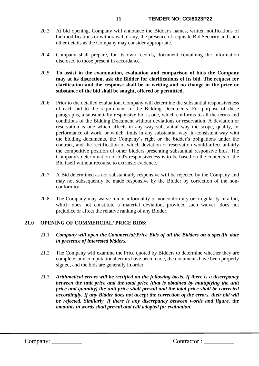- 20.3 At bid opening, Company will announce the Bidder's names, written notifications of bid modifications or withdrawal, if any, the presence of requisite Bid Security and such other details as the Company may consider appropriate.
- 20.4 Company shall prepare, for its own records, document containing the information disclosed to those present in accordance.
- 20.5 **To assist in the examination, evaluation and comparison of bids the Company may at its discretion, ask the Bidder for clarifications of its bid. The request for clarification and the response shall be in writing and no change in the price or substance of the bid shall be sought, offered or permitted.**
- 20.6 Prior to the detailed evaluation, Company will determine the substantial responsiveness of each bid to the requirement of the Bidding Documents. For purpose of these paragraphs, a substantially responsive bid is one, which conforms to all the terms and conditions of the Bidding Document without deviations or reservation. A deviation or reservation is one which affects in any way substantial way the scope, quality, or performance of work, or which limits in any substantial way, in-consistent way with the bidding documents, the Company's right or the bidder's obligations under the contract, and the rectification of which deviation or reservation would affect unfairly the competitive position of other bidders presenting substantial responsive bids. The Company's determination of bid's responsiveness is to be based on the contents of the Bid itself without recourse to extrinsic evidence.
- 20.7 A Bid determined as not substantially responsive will be rejected by the Company and may not subsequently be made responsive by the Bidder by correction of the nonconformity.
- 20.8 The Company may waive minor informality or nonconformity or irregularity in a bid, which does not constitute a material deviation, provided such waiver, does not prejudice or affect the relative ranking of any Bidder.

# **21.0 OPENING OF COMMERCIAL/ PRICE BIDS:**

- 21.1 *Company will open the Commercial/Price Bids of all the Bidders on a specific date in presence of interested bidders.*
- 21.2 The Company will examine the Price quoted by Bidders to determine whether they are complete, any computational errors have been made, the documents have been properly signed, and the bids are generally in order.
- 21.3 *Arithmetical errors will be rectified on the following basis. If there is a discrepancy between the unit price and the total price (that is obtained by multiplying the unit price and quantity) the unit price shall prevail and the total price shall be corrected accordingly. If any Bidder does not accept the correction of the errors, their bid will be rejected. Similarly, if there is any discrepancy between words and figure, the amounts in words shall prevail and will adopted for evaluation.*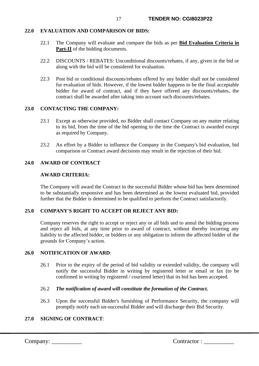#### **22.0 EVALUATION AND COMPARISON OF BIDS:**

- 22.1 The Company will evaluate and compare the bids as per **Bid Evaluation Criteria in**  Part-II of the bidding documents.
- 22.2 DISCOUNTS / REBATES: Unconditional discounts/rebates, if any, given in the bid or along with the bid will be considered for evaluation.
- 22.3 Post bid or conditional discounts/rebates offered by any bidder shall not be considered for evaluation of bids. However, if the lowest bidder happens to be the final acceptable bidder for award of contract, and if they have offered any discounts/rebates, the contract shall be awarded after taking into account such discounts/rebates.

#### **23.0 CONTACTING THE COMPANY:**

- 23.1 Except as otherwise provided, no Bidder shall contact Company on any matter relating to its bid, from the time of the bid opening to the time the Contract is awarded except as required by Company.
- 23.2 An effort by a Bidder to influence the Company in the Company's bid evaluation, bid comparison or Contract award decisions may result in the rejection of their bid.

# **24.0 AWARD OF CONTRACT**

#### **AWARD CRITERIA:**

The Company will award the Contract to the successful Bidder whose bid has been determined to be substantially responsive and has been determined as the lowest evaluated bid, provided further that the Bidder is determined to be qualified to perform the Contract satisfactorily.

# **25.0 COMPANY'S RIGHT TO ACCEPT OR REJECT ANY BID:**

Company reserves the right to accept or reject any or all bids and to annul the bidding process and reject all bids, at any time prior to award of contract, without thereby incurring any liability to the affected bidder, or bidders or any obligation to inform the affected bidder of the grounds for Company's action.

#### **26.0 NOTIFICATION OF AWARD**:

26.1 Prior to the expiry of the period of bid validity or extended validity, the company will notify the successful Bidder in writing by registered letter or email or fax (to be confirmed in writing by registered / couriered letter) that its bid has been accepted.

#### 26.2 *The notification of award will constitute the formation of the Contract.*

26.3 Upon the successful Bidder's furnishing of Performance Security, the company will promptly notify each un-successful Bidder and will discharge their Bid Security.

# **27.0 SIGNING OF CONTRACT**: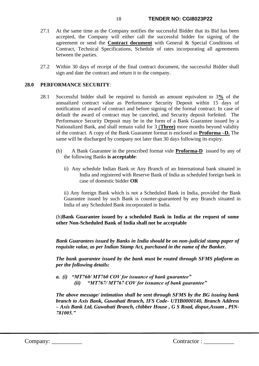- 27.1 At the same time as the Company notifies the successful Bidder that its Bid has been accepted, the Company will either call the successful bidder for signing of the agreement or send the **Contract document** with General & Special Conditions of Contract, Technical Specifications, Schedule of rates incorporating all agreements between the parties.
- 27.2 Within 30 days of receipt of the final contract document, the successful Bidder shall sign and date the contract and return it to the company.

#### **28.0 PERFORMANCE SECURITY**:

- 28.1 Successful bidder shall be required to furnish an amount equivalent to 3**%** of the annualized contract value as Performance Security Deposit within 15 days of notification of award of contract and before signing of the formal contract. In case of default the award of contract may be canceled, and Security deposit forfeited. The Performance Security Deposit may be in the form of a Bank Guarantee issued by a Nationalized Bank, and shall remain valid for 3 (**Three)** more months beyond validity of the contract. A copy of the Bank Guarantee format is enclosed as **Proforma –D.** The same will be discharged by company not later than 30 days following its expiry.
	- (b) A Bank Guarantee in the prescribed format vide **Proforma-D** issued by any of the following Banks **is acceptable**:
		- ii) Any schedule Indian Bank or Any Branch of an International bank situated in India and registered with Reserve Bank of India as scheduled foreign bank in case of domestic bidder **OR**

ii) Any foreign Bank which is not a Scheduled Bank in India, provided the Bank Guarantee issued by such Bank is counter-guaranteed by any Branch situated in India of any Scheduled Bank incorporated in India.

(b)**Bank Guarantee issued by a scheduled Bank in India at the request of some other Non-Scheduled Bank of India shall not be acceptable**

*Bank Guarantees issued by Banks in India should be on non-judicial stamp paper of requisite value, as per Indian Stamp Act, purchased in the name of the Banker.*

*The bank guarantee issued by the bank must be routed through SFMS platform as per the following details:*

*a. (i) "MT760/ MT760 COV for issuance of bank guarantee" (ii) "MT767/ MT767 COV for issuance of bank guarantee"*

*The above message/ intimation shall be sent through SFMS by the BG issuing bank branch to Axis Bank, Guwahati Branch, IFS Code- UTIB0000140, Branch Address – Axis Bank Ltd, Guwahati Branch, chibber House , G S Road, dispur,Assam , PIN-781005."*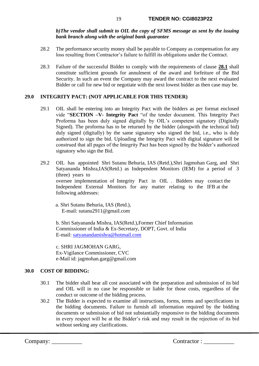### *b)The vendor shall submit to OIL the copy of SFMS message as sent by the issuing bank branch along with the original bank guarantee*

- 28.2 The performance security money shall be payable to Company as compensation for any loss resulting from Contractor's failure to fulfill its obligations under the Contract.
- 28.3 Failure of the successful Bidder to comply with the requirements of clause **28.1** shall constitute sufficient grounds for annulment of the award and forfeiture of the Bid Security. In such an event the Company may award the contract to the next evaluated Bidder or call for new bid or negotiate with the next lowest bidder as then case may be.

# **29.0 INTEGRITY PACT: (NOT APPLICABLE FOR THIS TENDER)**

- 29.1 OIL shall be entering into an Integrity Pact with the bidders as per format enclosed vide "**SECTION –V- Integrity Pact** "of the tender document. This Integrity Pact Proforma has been duly signed digitally by OIL's competent signatory (Digitally Signed). The proforma has to be returned by the bidder (alongwith the technical bid) duly signed (digitally) by the same signatory who signed the bid, i.e., who is duly authorized to sign the bid. Uploading the Integrity Pact with digital signature will be construed that all pages of the Integrity Pact has been signed by the bidder's authorized signatory who sign the Bid.
- 29.2 OIL has appointed Shri Sutanu Behuria, IAS (Retd.),Shri Jagmohan Garg, and Shri Satyananda Mishra,IAS(Retd.) as Independent Monitors (IEM) for a period of 3 (three) years to oversee implementation of Integrity Pact in OIL . Bidders may contact the Independent External Monitors for any matter relating to the IFB at the following addresses:
	- a. Shri Sutanu Behuria, IAS (Retd.), E-mail: [sutanu2911@gmaiI.com](mailto:sutanu2911@gmaiI.com)

b. Shri Satyananda Mishra, IAS(Retd.),Former Chief Information Commissioner of India & Ex-Secretary, DOPT, Govt. of India E-mail: [satyanandamishra@hotmail.com](mailto:satyanandamishra@hotmail.com)

c. SHRI JAGMOHAN GARG, Ex-Vigilance Commissioner, CVC e-Mail id: jagmohan.garg@gmail.com

# **30.0 COST OF BIDDING:**

- 30.1 The bidder shall bear all cost associated with the preparation and submission of its bid and OIL will in no case be responsible or liable for those costs, regardless of the conduct or outcome of the bidding process.
- 30.2 The Bidder is expected to examine all instructions, forms, terms and specifications in the bidding documents. Failure to furnish all information required by the bidding documents or submission of bid not substantially responsive to the bidding documents in every respect will be at the Bidder's risk and may result in the rejection of its bid without seeking any clarifications.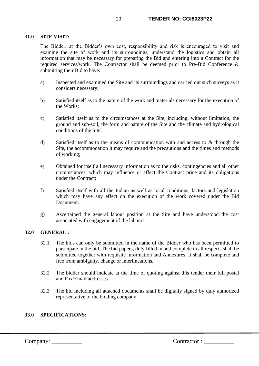# **31.0 SITE VISIT:**

The Bidder, at the Bidder's own cost, responsibility and risk is encouraged to visit and examine the site of work and its surroundings, understand the logistics and obtain all information that may be necessary for preparing the Bid and entering into a Contract for the required services/work. The Contractor shall be deemed prior to Pre-Bid Conference & submitting their Bid to have:

- a) Inspected and examined the Site and its surroundings and carried out such surveys as it considers necessary;
- b) Satisfied itself as to the nature of the work and materials necessary for the execution of the Works;
- c) Satisfied itself as to the circumstances at the Site, including, without limitation, the ground and sub-soil, the form and nature of the Site and the climate and hydrological conditions of the Site;
- d) Satisfied itself as to the means of communication with and access to & through the Site, the accommodation it may require and the precautions and the times and methods of working;
- e) Obtained for itself all necessary information as to the risks, contingencies and all other circumstances, which may influence or affect the Contract price and its obligations under the Contract;
- f) Satisfied itself with all the Indian as well as local conditions, factors and legislation which may have any effect on the execution of the work covered under the Bid Document.
- g) Ascertained the general labour position at the Site and have understood the cost associated with engagement of the labours.

#### **32.0 GENERAL :**

- 32.1 The bids can only be submitted in the name of the Bidder who has been permitted to participate in the bid. The bid papers, duly filled in and complete in all respects shall be submitted together with requisite information and Annexures. It shall be complete and free from ambiguity, change or interlineations.
- 32.2 The bidder should indicate at the time of quoting against this tender their full postal and Fax/Email addresses.
- 32.3 The bid including all attached documents shall be digitally signed by duly authorized representative of the bidding company.

#### **33.0 SPECIFICATIONS:**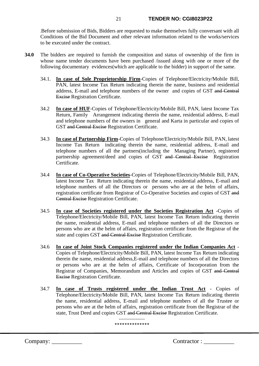**.**Before submission of Bids, Bidders are requested to make themselves fully conversant with all Conditions of the Bid Document and other relevant information related to the works/services to be executed under the contract.

- **34.0** The bidders are required to furnish the composition and status of ownership of the firm in whose name tender documents have been purchased /issued along with one or more of the following documentary evidences(which are applicable to the bidder) in support of the same.
	- 34.1. **In case of Sole Proprietorship Firm**-Copies of Telephone/Electricity/Mobile Bill, PAN, latest Income Tax Return indicating therein the name, business and residential address, E-mail and telephone numbers of the owner and copies of GST and Central Excise Registration Certificate.
	- 34.2 **In case of HUF**-Copies of Telephone/Electricity/Mobile Bill, PAN, latest Income Tax Return, Family Arrangement indicating therein the name, residential address, E-mail and telephone numbers of the owners in general and Karta in particular and copies of GST and Central Excise Registration Certificate.
	- 34.3 **In case of Partnership Firm**-Copies of Telephone/Electricity/Mobile Bill, PAN, latest Income Tax Return indicating therein the name, residential address, E-mail and telephone numbers of all the partners(including the Managing Partner), registered partnership agreement/deed and copies of GST and Central Excise Registration Certificate.
	- 34.4 **In case of Co-Operative Societies**-Copies of Telephone/Electricity/Mobile Bill, PAN, latest Income Tax Return indicating therein the name, residential address, E-mail and telephone numbers of all the Directors or persons who are at the helm of affairs, registration certificate from Registrar of Co-Operative Societies and copies of GST and Central Excise Registration Certificate.
	- 34.5 **In case of Societies registered under the Societies Registration Act** -Copies of Telephone/Electricity/Mobile Bill, PAN, latest Income Tax Return indicating therein the name, residential address, E-mail and telephone numbers of all the Directors or persons who are at the helm of affairs, registration certificate from the Registrar of the state and copies GST and Central Excise Registration Certificate.
	- 34.6 **In case of Joint Stock Companies registered under the Indian Companies Act** Copies of Telephone/Electricity/Mobile Bill, PAN, latest Income Tax Return indicating therein the name, residential address,E-mail and telephone numbers of all the Directors or persons who are at the helm of affairs, Certificate of Incorporation from the Registrar of Companies, Memorandum and Articles and copies of GST and Central Excise Registration Certificate.
	- 34.7 **In case of Trusts registered under the Indian Trust Act** Copies of Telephone/Electricity/Mobile Bill, PAN, latest Income Tax Return indicating therein the name, residential address, E-mail and telephone numbers of all the Trustee or persons who are at the helm of affairs, registration certificate from the Registrar of the state, Trust Deed and copies GST and Central Excise Registration Certificate. -----------------

#### \*\*\*\*\*\*\*\*\*\*\*\*\*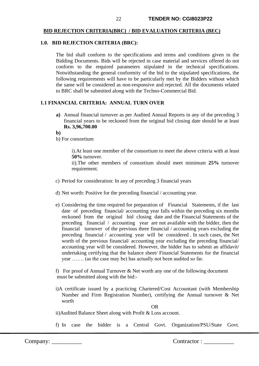#### **BID REJECTION CRITERIA(BRC) / BID EVALUATION CRITERIA (BEC)**

#### **1.0. BID REJECTION CRITERIA (BRC):**

The bid shall conform to the specifications and terms and conditions given in the Bidding Documents. Bids will be rejected in case material and services offered do not conform to the required parameters stipulated in the technical specifications. Notwithstanding the general conformity of the bid to the stipulated specifications, the following requirements will have to be particularly met by the Bidders without which the same will be considered as non-responsive and rejected. All the documents related to BRC shall be submitted along with the Techno-Commercial Bid.

# **1.1 FINANCIAL CRITERIA: ANNUAL TURN OVER**

**a)** Annual financial turnover as per Audited Annual Reports in any of the preceding 3 financial years to be reckoned from the original bid closing date should be at least **Rs. 3,96,700.00**

**b)**

b) For consortium

i).At least one member of the consortium to meet the above criteria with at least **50%** turnover.

ii).The other members of consortium should meet minimum **25%** turnover requirement.

- c) Period for consideration: In any of preceding 3 financial years
- d) Net worth: Positive for the preceding financial / accounting year.
- e) Considering the time required for preparation of Financial Statements, if the last date of preceding financial/ accounting year falls within the preceding six months reckoned from the original bid closing date and the Financial Statements of the preceding financial / accounting year are not available with the bidder, then the financial turnover of the previous three financial / accounting years excluding the preceding financial / accounting year will be considered . In such cases, the Net worth of the previous financial/ accounting year excluding the preceding financial/ accounting year will be considered. However, the bidder has to submit an affidavit/ undertaking certifying that the balance sheet/ Financial Statements for the financial year ……. (as the case may be) has actually not been audited so far.

f) For proof of Annual Turnover & Net worth any one of the following document must be submitted along with the bid:-

i)A certificate issued by a practicing Chartered/Cost Accountant (with Membership Number and Firm Registration Number), certifying the Annual turnover & Net worth

**OR** Service Service Service Service Service Service Service Service Service Service Service Service Service Service Service Service Service Service Service Service Service Service Service Service Service Service Service S

ii)Audited Balance Sheet along with Profit & Loss account.

f) In case the bidder is a Central Govt. Organization/PSU/State Govt.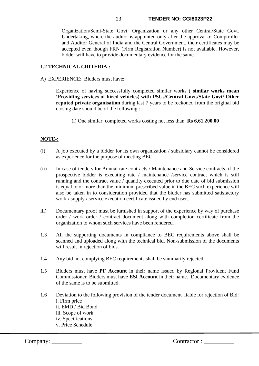Organization/Semi-State Govt. Organization or any other Central/State Govt. Undertaking, where the auditor is appointed only after the approval of Comptroller and Auditor General of India and the Central Government, their certificates may be accepted even though FRN (Firm Registration Number) is not available. However, bidder will have to provide documentary evidence for the same.

#### **1.2 TECHNICAL CRITERIA :**

A) EXPERIENCE: Bidders must have:

Experience of having successfully completed similar works ( **similar works mean 'Providing services of hired vehicles**) **with PSUs/Central Govt./State Govt/ Other reputed private organisation** during last 7 years to be reckoned from the original bid closing date should be of the following :

(i) One similar completed works costing not less than **Rs 6,61,200.00**

# **NOTE-:**

- (i) A job executed by a bidder for its own organization / subsidiary cannot be considered as experience for the purpose of meeting BEC.
- (ii) In case of tenders for Annual rate contracts / Maintenance and Service contracts, if the prospective bidder is executing rate / maintenance /service contract which is still running and the contract value / quantity executed prior to due date of bid submission is equal to or more than the minimum prescribed value in the BEC such experience will also be taken in to consideration provided that the bidder has submitted satisfactory work / supply / service execution certificate issued by end user.
- iii) Documentary proof must be furnished in support of the experience by way of purchase order / work order / contract document along with completion certificate from the organization to whom such services have been rendered.
- 1.3 All the supporting documents in compliance to BEC requirements above shall be scanned and uploaded along with the technical bid. Non-submission of the documents will result in rejection of bids.
- 1.4 Any bid not complying BEC requirements shall be summarily rejected.
- 1.5 Bidders must have **PF Account** in their name issued by Regional Provident Fund Commissioner. Bidders must have **ESI Account** in their name. .Documentary evidence of the same is to be submitted.
- 1.6 Deviation to the following provision of the tender document liable for rejection of Bid: i. Firm price ii. EMD / Bid Bond iii. Scope of work iv. Specifications v. Price Schedule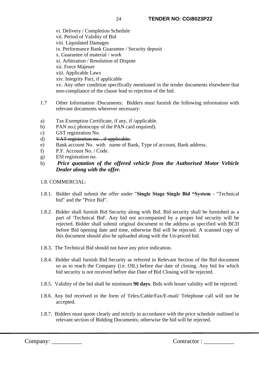vi. Delivery / Completion Schedule vii. Period of Validity of Bid viii. Liquidated Damages ix. Performance Bank Guarantee / Security deposit x. Guarantee of material / work xi. Arbitration / Resolution of Dispute xii. Force Majeure xiii. Applicable Laws xiv. Integrity Pact, if applicable xv. Any other condition specifically mentioned in the tender documents elsewhere that non-compliance of the clause lead to rejection of the bid.

- 1.7 Other Information /Documents: Bidders must furnish the following information with relevant documents wherever necessary:
- a) Tax Exemption Certificate, if any, if /applicable.
- b) PAN no.( photocopy of the PAN card required).
- c) GST registration No.
- d) VAT registration no., if applicable.
- e) Bank account No. with name of Bank, Type of account, Bank address.
- f) P.F. Account No. / Code.
- g) ESI registration no.
- h) *Price quotation of the offered vehicle from the Authorised Motor Vehicle Dealer along with the offer.*
- 1.8. COMMERCIAL:
- 1.8.1. Bidder shall submit the offer under "**Single Stage Single Bid "System** "Technical bid" and the "Price Bid".
- 1.8.2. Bidder shall furnish Bid Security along with Bid. Bid security shall be furnished as a part of 'Technical Bid'. Any bid not accompanied by a proper bid security will be rejected. Bidder shall submit original document to the address as specified with BCD before Bid opening date and time, otherwise Bid will be rejected. A scanned copy of this document should also be uploaded along with the Un-priced bid.
- 1.8.3. The Technical Bid should not have any price indication.
- 1.8.4. Bidder shall furnish Bid Security as referred in Relevant Section of the Bid document so as to reach the Company (i.e. OIL) before due date of closing. Any bid for which bid security is not received before due Date of Bid Closing will be rejected.
- 1.8.5. Validity of the bid shall be minimum **90 days**. Bids with lesser validity will be rejected.
- 1.8.6. Any bid received in the form of Telex/Cable/Fax/E-mail/ Telephone call will not be accepted.
- 1.8.7. Bidders must quote clearly and strictly in accordance with the price schedule outlined in relevant section of Bidding Documents; otherwise the bid will be rejected.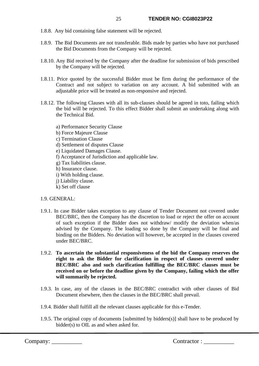- 1.8.8. Any bid containing false statement will be rejected.
- 1.8.9. The Bid Documents are not transferable. Bids made by parties who have not purchased the Bid Documents from the Company will be rejected.
- 1.8.10. Any Bid received by the Company after the deadline for submission of bids prescribed by the Company will be rejected.
- 1.8.11. Price quoted by the successful Bidder must be firm during the performance of the Contract and not subject to variation on any account. A bid submitted with an adjustable price will be treated as non-responsive and rejected.
- 1.8.12. The following Clauses with all its sub-clauses should be agreed in toto, failing which the bid will be rejected. To this effect Bidder shall submit an undertaking along with the Technical Bid.
	- a) Performance Security Clause
	- b) Force Majeure Clause
	- c) Termination Clause
	- d) Settlement of disputes Clause
	- e) Liquidated Damages Clause.
	- f) Acceptance of Jurisdiction and applicable law.
	- g) Tax liabilities clause.
	- h) Insurance clause.
	- i) With holding clause.
	- j) Liability clause.
	- k) Set off clause

#### 1.9. GENERAL:

- 1.9.1. In case Bidder takes exception to any clause of Tender Document not covered under BEC/BRC, then the Company has the discretion to load or reject the offer on account of such exception if the Bidder does not withdraw/ modify the deviation when/as advised by the Company. The loading so done by the Company will be final and binding on the Bidders. No deviation will however, be accepted in the clauses covered under BEC/BRC.
- 1.9.2. **To ascertain the substantial responsiveness of the bid the Company reserves the right to ask the Bidder for clarification in respect of clauses covered under BEC/BRC also and such clarification fulfilling the BEC/BRC clauses must be received on or before the deadline given by the Company, failing which the offer will summarily be rejected.**
- 1.9.3. In case, any of the clauses in the BEC/BRC contradict with other clauses of Bid Document elsewhere, then the clauses in the BEC/BRC shall prevail.
- 1.9.4. Bidder shall fulfill all the relevant clauses applicable for this e-Tender.
- 1.9.5. The original copy of documents [submitted by bidders(s)] shall have to be produced by bidder(s) to OIL as and when asked for.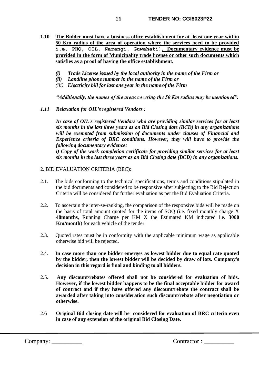- **1.10 The Bidder must have a business office establishment for at least one year within 50 Km radius of the area of operation where the services need to be provided i.e. PHQ, OIL, Narangi, Guwahati**)**. Documentary evidence must be provided in the form of Municipality trade license or other such documents which satisfies as a proof of having the office establishment.**
	- *(i) Trade License issued by the local authority in the name of the Firm or*
	- *(ii) Landline phone number in the name of the Firm or*
	- *(iii) Electricity bill for last one year in the name of the Firm*

*"Additionally, the names of the areas covering the 50 Km radius may be mentioned".*

*1.11 Relaxation for OIL's registered Vendors :*

 *In case of OIL's registered Vendors who are providing similar services for at least six months in the last three years as on Bid Closing date (BCD) in any organizations will be exempted from submission of documents under clauses of Financial and Experience criteria of BRC conditions. However, they will have to provide the following documentary evidence:*

*i) Copy of the work completion certificate for providing similar services for at least six months in the last three years as on Bid Closing date (BCD) in any organizations.*

- 2. BID EVALUATION CRITERIA (BEC):
- 2.1. The bids conforming to the technical specifications, terms and conditions stipulated in the bid documents and considered to be responsive after subjecting to the Bid Rejection Criteria will be considered for further evaluation as per the Bid Evaluation Criteria.
- 2.2. To ascertain the inter-se-ranking, the comparison of the responsive bids will be made on the basis of total amount quoted for the items of SOQ (i.e. fixed monthly charge X **48months**, Running Charge per KM X the Estimated KM indicated i.e. **3000 Km/month**) for each vehicle of the tender.
- 2.3. Quoted rates must be in conformity with the applicable minimum wage as applicable otherwise bid will be rejected.
- 2.4. **In case more than one bidder emerges as lowest bidder due to equal rate quoted by the bidder, then the lowest bidder will be decided by draw of lots. Company's decision in this regard is final and binding to all bidders.**
- 2.5. **Any discount/rebates offered shall not be considered for evaluation of bids. However, if the lowest bidder happens to be the final acceptable bidder for award of contract and if they have offered any discount/rebate the contract shall be awarded after taking into consideration such discount/rebate after negotiation or otherwise.**
- 2.6 **Original Bid closing date will be considered for evaluation of BRC criteria even in case of any extension of the original Bid Closing Date.**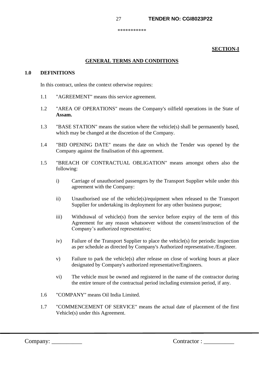\*\*\*\*\*\*\*\*\*\*\*

# **SECTION-I**

#### **GENERAL TERMS AND CONDITIONS**

#### **1.0 DEFINITIONS**

In this contract, unless the context otherwise requires:

- 1.1 "AGREEMENT" means this service agreement.
- 1.2 "AREA OF OPERATIONS" means the Company's oilfield operations in the State of **Assam.**
- 1.3 "BASE STATION" means the station where the vehicle(s) shall be permanently based, which may be changed at the discretion of the Company.
- 1.4 "BID OPENING DATE" means the date on which the Tender was opened by the Company against the finalisation of this agreement.
- 1.5 "BREACH OF CONTRACTUAL OBLIGATION" means amongst others also the following:
	- i) Carriage of unauthorised passengers by the Transport Supplier while under this agreement with the Company:
	- ii) Unauthorised use of the vehicle(s)/equipment when released to the Transport Supplier for undertaking its deployment for any other business purpose;
	- iii) Withdrawal of vehicle(s) from the service before expiry of the term of this Agreement for any reason whatsoever without the consent/instruction of the Company's authorized representative;
	- iv) Failure of the Transport Supplier to place the vehicle(s) for periodic inspection as per schedule as directed by Company's Authorized representative./Engineer.
	- v) Failure to park the vehicle(s) after release on close of working hours at place designated by Company's authorized representative/Engineers.
	- vi) The vehicle must be owned and registered in the name of the contractor during the entire tenure of the contractual period including extension period, if any.
- 1.6 "COMPANY" means Oil India Limited.
- 1.7 "COMMENCEMENT OF SERVICE" means the actual date of placement of the first Vehicle(s) under this Agreement.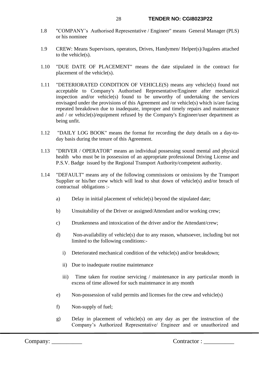- 1.8 "COMPANY's Authorised Representative / Engineer" means General Manager (PLS) or his nominee
- 1.9 CREW: Means Supervisors, operators, Drives, Handymen/ Helper(s)/Jugalees attached to the vehicle(s).
- 1.10 "DUE DATE OF PLACEMENT" means the date stipulated in the contract for placement of the vehicle(s).
- 1.11 "DETERIORATED CONDITION OF VEHICLE(S) means any vehicle(s) found not acceptable to Company's Authorised Representative/Engineer after mechanical inspection and/or vehicle(s) found to be unworthy of undertaking the services envisaged under the provisions of this Agreement and /or vehicle(s) which is/are facing repeated breakdown due to inadequate, improper and timely repairs and maintenance and / or vehicle(s)/equipment refused by the Company's Engineer/user department as being unfit.
- 1.12 "DAILY LOG BOOK" means the format for recording the duty details on a day-today basis during the tenure of this Agreement.
- 1.13 "DRIVER / OPERATOR" means an individual possessing sound mental and physical health who must be in possession of an appropriate professional Driving License and P.S.V. Badge issued by the Regional Transport Authority/competent authority.
- 1.14 "DEFAULT" means any of the following commissions or omissions by the Transport Supplier or his/her crew which will lead to shut down of vehicle(s) and/or breach of contractual obligations :
	- a) Delay in initial placement of vehicle(s) beyond the stipulated date;
	- b) Unsuitability of the Driver or assigned/Attendant and/or working crew;
	- c) Drunkenness and intoxication of the driver and/or the Attendant/crew;
	- d) Non-availability of vehicle(s) due to any reason, whatsoever, including but not limited to the following conditions:
		- i) Deteriorated mechanical condition of the vehicle(s) and/or breakdown;
		- ii) Due to inadequate routine maintenance
		- iii) Time taken for routine servicing / maintenance in any particular month in excess of time allowed for such maintenance in any month
	- e) Non-possession of valid permits and licenses for the crew and vehicle(s)
	- f) Non-supply of fuel;
	- g) Delay in placement of vehicle(s) on any day as per the instruction of the Company's Authorized Representative/ Engineer and or unauthorized and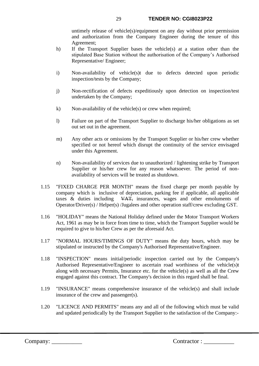untimely release of vehicle(s)/equipment on any day without prior permission and authorization from the Company Engineer during the tenure of this Agreement;

- h) If the Transport Supplier bases the vehicle(s) at a station other than the stipulated Base Station without the authorisation of the Company's Authorised Representative/ Engineer;
- i) Non-availability of vehicle(s)t due to defects detected upon periodic inspection/tests by the Company;
- j) Non-rectification of defects expeditiously upon detection on inspection/test undertaken by the Company;
- $k$ ) Non-availability of the vehicle(s) or crew when required;
- l) Failure on part of the Transport Supplier to discharge his/her obligations as set out set out in the agreement.
- m) Any other acts or omissions by the Transport Supplier or his/her crew whether specified or not hereof which disrupt the continuity of the service envisaged under this Agreement.
- n) Non-availability of services due to unauthorized / lightening strike by Transport Supplier or his/her crew for any reason whatsoever. The period of nonavailability of services will be treated as shutdown.
- 1.15 "FIXED CHARGE PER MONTH" means the fixed charge per month payable by company which is inclusive of depreciation, parking fee if applicable, all applicable taxes & duties including VAT, insurances, wages and other emoluments of Operator/Driver(s) / Helper(s) /Jugalees and other operation staff/crew excluding GST.
- 1.16 "HOLIDAY" means the National Holiday defined under the Motor Transport Workers Act, 1961 as may be in force from time to time, which the Transport Supplier would be required to give to his/her Crew as per the aforesaid Act.
- 1.17 "NORMAL HOURS/TIMINGS OF DUTY" means the duty hours, which may be stipulated or instructed by the Company's Authorised Representative/Engineer.
- 1.18 "INSPECTION" means initial/periodic inspection carried out by the Company's Authorised Representative/Engineer to ascertain road worthiness of the vehicle(s)t along with necessary Permits, Insurance etc. for the vehicle(s) as well as all the Crew engaged against this contract. The Company's decision in this regard shall be final.
- 1.19 "INSURANCE" means comprehensive insurance of the vehicle(s) and shall include insurance of the crew and passenger(s).
- 1.20 "LICENCE AND PERMITS" means any and all of the following which must be valid and updated periodically by the Transport Supplier to the satisfaction of the Company:-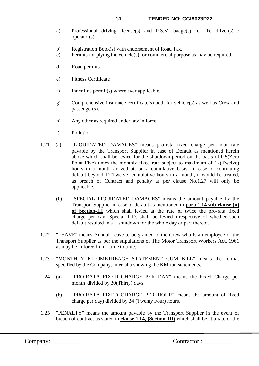- a) Professional driving license(s) and P.S.V. badge(s) for the driver(s) / operator(s).
- b) Registration Book(s) with endorsement of Road Tax.
- c) Permits for plying the vehicle(s) for commercial purpose as may be required.
- d) Road permits
- e) Fitness Certificate
- f) Inner line permit(s) where ever applicable.
- g) Comprehensive insurance certificate(s) both for vehicle(s) as well as Crew and passenger(s).
- h) Any other as required under law in force;
- i) Pollution
- 1.21 (a) "LIQUIDATED DAMAGES" means pro-rata fixed charge per hour rate payable by the Transport Supplier in case of Default as mentioned herein above which shall be levied for the shutdown period on the basis of 0.5(Zero Point Five) times the monthly fixed rate subject to maximum of 12(Twelve) hours in a month arrived at, on a cumulative basis. In case of continuing default beyond 12(Twelve) cumulative hours in a month, it would be treated, as breach of Contract and penalty as per clause No.1.27 will only be applicable.
	- (b) "SPECIAL LIQUIDATED DAMAGES" means the amount payable by the Transport Supplier in case of default as mentioned in **para 1.14 sub clause (n) of Section-III** which shall levied at the rate of twice the pro-rata fixed charge per day. Special L.D. shall be levied irrespective of whether such default resulted in a shutdown for the whole day or part thereof.
- 1.22 "LEAVE" means Annual Leave to be granted to the Crew who is an employee of the Transport Supplier as per the stipulations of The Motor Transport Workers Act, 1961 as may be in force from time to time.
- 1.23 "MONTHLY KILOMETREAGE STATEMENT CUM BILL" means the format specified by the Company, inter-alia showing the KM run statements.
- 1.24 (a) "PRO-RATA FIXED CHARGE PER DAY" means the Fixed Charge per month divided by 30(Thirty) days.
	- (b) "PRO-RATA FIXED CHARGE PER HOUR" means the amount of fixed charge per day) divided by 24 (Twenty Four) hours.
- 1.25 "PENALTY" means the amount payable by the Transport Supplier in the event of breach of contract as stated in **clause 1.14, (Section-III)** which shall be at a rate of the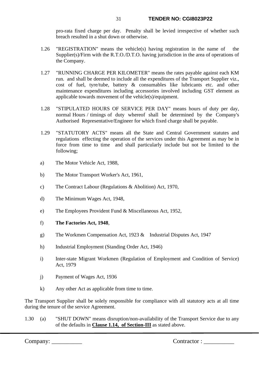pro-rata fixed charge per day. Penalty shall be levied irrespective of whether such breach resulted in a shut down or otherwise.

- 1.26 "REGISTRATION" means the vehicle(s) having registration in the name of the Supplier(s)/Firm with the R.T.O./D.T.O. having jurisdiction in the area of operations of the Company.
- 1.27 "RUNNING CHARGE PER KILOMETER" means the rates payable against each KM run. and shall be deemed to include all the expenditures of the Transport Supplier viz., cost of fuel, tyre/tube, battery & consumables like lubricants etc. and other maintenance expenditures including accessories involved including GST element as applicable towards movement of the vehicle(s)/equipment.
- 1.28 "STIPULATED HOURS OF SERVICE PER DAY" means hours of duty per day, normal Hours / timings of duty whereof shall be determined by the Company's Authorised Representative/Engineer for which fixed charge shall be payable.
- 1.29 "STATUTORY ACTS" means all the State and Central Government statutes and regulations effecting the operation of the services under this Agreement as may be in force from time to time and shall particularly include but not be limited to the following;
- a) The Motor Vehicle Act, 1988,
- b) The Motor Transport Worker's Act, 1961,
- c) The Contract Labour (Regulations & Abolition) Act, 1970,
- d) The Minimum Wages Act, 1948,
- e) The Employees Provident Fund & Miscellaneous Act, 1952,
- f) **The Factories Act, 1948**,
- g) The Workmen Compensation Act, 1923 & Industrial Disputes Act, 1947
- h) Industrial Employment (Standing Order Act, 1946)
- i) Inter-state Migrant Workmen (Regulation of Employment and Condition of Service) Act, 1979
- j) Payment of Wages Act, 1936
- k) Any other Act as applicable from time to time.

The Transport Supplier shall be solely responsible for compliance with all statutory acts at all time during the tenure of the service Agreement.

1.30 (a) "SHUT DOWN" means disruption/non-availability of the Transport Service due to any of the defaults in **Clause 1.14, of Section-III** as stated above.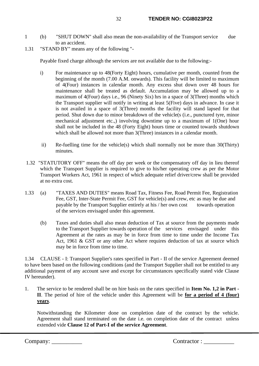- 1 (b) "SHUT DOWN" shall also mean the non-availability of the Transport service due to an accident.
- 1.31 "STAND BY" means any of the following "-

Payable fixed charge although the services are not available due to the following:-

- i) For maintenance up to 48(Forty Eight) hours, cumulative per month, counted from the beginning of the month (7.00 A.M. onwards). This facility will be limited to maximum of 4(Four) instances in calendar month. Any excess shut down over 48 hours for maintenance shall be treated as default. Accumulation may be allowed up to a maximum of 4(Four) days i.e., 96 (Ninety Six) hrs in a space of 3(Three) months which the Transport supplier will notify in writing at least 5(Five) days in advance. In case it is not availed in a space of 3(Three) months the facility will stand lapsed for that period. Shut down due to minor breakdown of the vehicle(s (i.e., punctured tyre, minor mechanical adjustment etc.,) involving downtime up to a maximum of 1(One) hour shall not be included in the 48 (Forty Eight) hours time or counted towards shutdown which shall be allowed not more than 3(Three) instances in a calendar month.
- ii) Re-fuelling time for the vehicle(s) which shall normally not be more than 30(Thirty) minutes.
- 1.32 "STATUTORY OFF" means the off day per week or the compensatory off day in lieu thereof which the Transport Supplier is required to give to his/her operating crew as per the Motor Transport Workers Act, 1961 in respect of which adequate relief driver/crew shall be provided at no extra cost.
- 1.33 (a) "TAXES AND DUTIES" means Road Tax, Fitness Fee, Road Permit Fee, Registration Fee, GST, Inter-State Permit Fee, GST for vehicle(s) and crew, etc as may be due and payable by the Transport Supplier entirely at his / her own cost towards operation of the services envisaged under this agreement.
	- (b) Taxes and duties shall also mean deduction of Tax at source from the payments made to the Transport Supplier towards operation of the services envisaged under this Agreement at the rates as may be in force from time to time under the Income Tax Act, 1961 & GST or any other Act where requires deduction of tax at source which may be in force from time to time.

1.34 CLAUSE - I: Transport Supplier's rates specified in Part - II of the service Agreement deemed to have been based on the following conditions (and the Transport Supplier shall not be entitled to any additional payment of any account save and except for circumstances specifically stated vide Clause IV hereunder).

1. The service to be rendered shall be on hire basis on the rates specified in **Item No. 1,2 in Part - II**. The period of hire of the vehicle under this Agreement will be **for a period of 4 (four) years**.

Notwithstanding the Kilometer done on completion date of the contract by the vehicle. Agreement shall stand terminated on the date i.e. on completion date of the contract unless extended vide **Clause 12 of Part-I of the service Agreement**.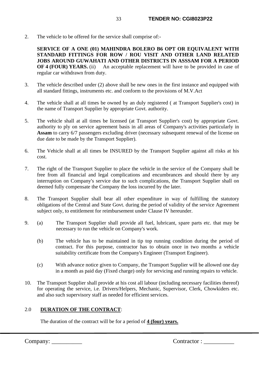2. The vehicle to be offered for the service shall comprise of:-

**SERVICE OF A ONE (01) MAHINDRA BOLERO B6 OPT OR EQUIVALENT WITH STANDARD FITTINGS FOR ROW / ROU VISIT AND OTHER LAND RELATED JOBS AROUND GUWAHATI AND OTHER DISTRICTS IN ASSSAM FOR A PERIOD OF 4 (FOUR) YEARS.** (ii) An acceptable replacement will have to be provided in case of regular car withdrawn from duty.

- 3. The vehicle described under (2) above shall be new ones in the first instance and equipped with all standard fittings, instruments etc. and conform to the provisions of M.V.Act
- 4. The vehicle shall at all times be owned by an duly registered ( at Transport Supplier's cost) in the name of Transport Supplier by appropriate Govt. authority.
- 5. The vehicle shall at all times be licensed (at Transport Supplier's cost) by appropriate Govt. authority to ply on service agreement basis in all areas of Company's activities particularly in Assam to carry 6/7 passengers excluding driver (necessary subsequent renewal of the license on due date to be made by the Transport Supplier).
- 6. The Vehicle shall at all times be INSURED by the Transport Supplier against all risks at his cost.
- 7. The right of the Transport Supplier to place the vehicle in the service of the Company shall be free from all financial and legal complications and encumbrances and should there by any interruption on Company's service due to such complications, the Transport Supplier shall on deemed fully compensate the Company the loss incurred by the later.
- 8. The Transport Supplier shall bear all other expenditure in way of fulfilling the statutory obligations of the Central and State Govt. during the period of validity of the service Agreement subject only, to entitlement for reimbursement under Clause IV hereunder.
- 9. (a) The Transport Supplier shall provide all fuel, lubricant, spare parts etc. that may be necessary to run the vehicle on Company's work.
	- (b) The vehicle has to be maintained in tip top running condition during the period of contract. For this purpose, contractor has to obtain once in two months a vehicle suitability certificate from the Company's Engineer (Transport Engineer).
	- (c) With advance notice given to Company, the Transport Supplier will be allowed one day in a month as paid day (Fixed charge) only for servicing and running repairs to vehicle.
- 10. The Transport Supplier shall provide at his cost all labour (including necessary facilities thereof) for operating the service, i.e. Drivers/Helpers, Mechanic, Supervisor, Clerk, Chowkiders etc. and also such supervisory staff as needed for efficient services.

# 2.0 **DURATION OF THE CONTRACT**:

The duration of the contract will be for a period of **4 (four) years.**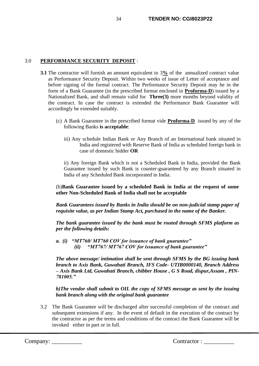# 3.0 **PERFORMANCE SECURITY DEPOSIT** :

- **3.1** The contractor will furnish an amount equivalent to  $3\%$  of the annualized contract value as Performance Security Deposit. Within two weeks of issue of Letter of acceptance and before signing of the formal contract. The Performance Security Deposit may be in the form of a Bank Guarantee (in the prescribed format enclosed in **Proforma-D**) issued by a Nationalized Bank, and shall remain valid for **Three(3)** more months beyond validity of the contract. In case the contract is extended the Performance Bank Guarantee will accordingly be extended suitably.
	- (c) A Bank Guarantee in the prescribed format vide **Proforma-D** issued by any of the following Banks **is acceptable**:
		- iii) Any schedule Indian Bank or Any Branch of an International bank situated in India and registered with Reserve Bank of India as scheduled foreign bank in case of domestic bidder **OR**

ii) Any foreign Bank which is not a Scheduled Bank in India, provided the Bank Guarantee issued by such Bank is counter-guaranteed by any Branch situated in India of any Scheduled Bank incorporated in India.

(b)**Bank Guarantee issued by a scheduled Bank in India at the request of some other Non-Scheduled Bank of India shall not be acceptable**

*Bank Guarantees issued by Banks in India should be on non-judicial stamp paper of requisite value, as per Indian Stamp Act, purchased in the name of the Banker.*

*The bank guarantee issued by the bank must be routed through SFMS platform as per the following details:*

*a. (i) "MT760/ MT760 COV for issuance of bank guarantee" (ii) "MT767/ MT767 COV for issuance of bank guarantee"*

*The above message/ intimation shall be sent through SFMS by the BG issuing bank branch to Axis Bank, Guwahati Branch, IFS Code- UTIB0000140, Branch Address – Axis Bank Ltd, Guwahati Branch, chibber House , G S Road, dispur,Assam , PIN-781005."*

*b)The vendor shall submit to OIL the copy of SFMS message as sent by the issuing bank branch along with the original bank guarantee*

3.2 The Bank Guarantee will be discharged after successful completion of the contract and subsequent extensions if any. In the event of default in the execution of the contract by the contractor as per the terms and conditions of the contract the Bank Guarantee will be invoked either in part or in full.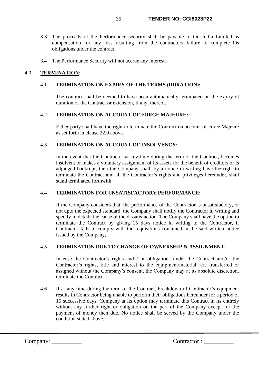- 3.3 The proceeds of the Performance security shall be payable to Oil India Limited as compensation for any loss resulting from the contractors failure to complete his obligations under the contract.
- 3.4 The Performance Security will not accrue any interest.

## 4.0 **TERMINATION**:

#### 4.1 **TERMINATION ON EXPIRY OF THE TERMS (DURATION):**

The contract shall be deemed to have been automatically terminated on the expiry of duration of the Contract or extension, if any, thereof.

#### 4.2 **TERMINATION ON ACCOUNT OF FORCE MAJEURE:**

Either party shall have the right to terminate the Contract on account of Force Majeure as set forth in clause 22.0 above.

#### 4.3 **TERMINATION ON ACCOUNT OF INSOLVENCY:**

In the event that the Contractor at any time during the term of the Contract, becomes insolvent or makes a voluntary assignment of its assets for the benefit of creditors or is adjudged bankrupt, then the Company shall, by a notice in writing have the right to terminate the Contract and all the Contractor's rights and privileges hereunder, shall stand terminated forthwith.

#### 4.4 **TERMINATION FOR UNSATISFACTORY PERFORMANCE:**

If the Company considers that, the performance of the Contractor is unsatisfactory, or not upto the expected standard, the Company shall notify the Contractor in writing and specify in details the cause of the dissatisfaction. The Company shall have the option to terminate the Contract by giving 15 days notice in writing to the Contractor, if Contractor fails to comply with the requisitions contained in the said written notice issued by the Company,

#### 4.5 **TERMINATION DUE TO CHANGE OF OWNERSHIP & ASSIGNMENT:**

In case the Contractor's rights and / or obligations under the Contract and/or the Contractor's rights, title and interest to the equipment/material, are transferred or assigned without the Company's consent, the Company may at its absolute discretion, terminate the Contract.

4.6 If at any time during the term of the Contract, breakdown of Contractor's equipment results in Contractor being unable to perform their obligations hereunder for a period of 15 successive days, Company at its option may terminate this Contract in its entirely without any further right or obligation on the part of the Company except for the payment of money then due. No notice shall be served by the Company under the condition stated above.

Company: \_\_\_\_\_\_\_\_\_\_ Contractor : \_\_\_\_\_\_\_\_\_\_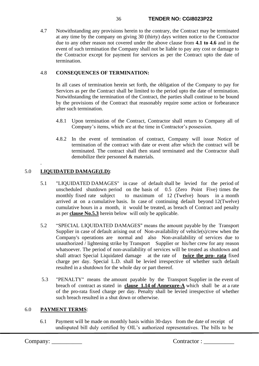4.7 Notwithstanding any provisions herein to the contrary, the Contract may be terminated at any time by the company on giving 30 (thirty) days written notice to the Contractor due to any other reason not covered under the above clause from **4.1 to 4.6** and in the event of such termination the Company shall not be liable to pay any cost or damage to the Contractor except for payment for services as per the Contract upto the date of termination.

# 4.8 **CONSEQUENCES OF TERMINATION:**

In all cases of termination herein set forth, the obligation of the Company to pay for Services as per the Contract shall be limited to the period upto the date of termination. Notwithstanding the termination of the Contract, the parties shall continue to be bound by the provisions of the Contract that reasonably require some action or forbearance after such termination.

- 4.8.1 Upon termination of the Contract, Contractor shall return to Company all of Company's items, which are at the time in Contractor's possession.
- 4.8.2 In the event of termination of contract, Company will issue Notice of termination of the contract with date or event after which the contract will be terminated. The contract shall then stand terminated and the Contractor shall demobilize their personnel & materials.

# 5.0 **LIQUIDATED DAMAGE(LD)**:

.

- 5.1 "LIQUIDATED DAMAGES" in case of default shall be levied for the period of unscheduled shutdown period on the basis of 0.5 (Zero Point Five) times the monthly fixed rate subject to maximum of 12 (Twelve) hours in a month arrived at on a cumulative basis. In case of continuing default beyond 12(Twelve) cumulative hours in a month, it would be treated, as breach of Contract and penalty as per **clause No.5.3** herein below will only be applicable.
- 5.2 "SPECIAL LIQUIDATED DAMAGES" means the amount payable by the Transport Supplier in case of default arising out of Non-availability of vehicle(s)/crew when the Company's operations are normal and also Non-availability of services due to unauthorized / lightening strike by Transport Supplier or his/her crew for any reason whatsoever. The period of non-availability of services will be treated as shutdown and shall attract Special Liquidated damage at the rate of **twice the pro- rata** fixed charge per day. Special L.D. shall be levied irrespective of whether such default resulted in a shutdown for the whole day or part thereof.
- 5.3 "PENALTY" means the amount payable by the Transport Supplier in the event of breach of contract as stated in **clause 1.14 of Annexure-A** which shall be at a rate of the pro-rata fixed charge per day. Penalty shall be levied irrespective of whether such breach resulted in a shut down or otherwise.

#### 6.0 **PAYMENT TERMS**:

6.1 Payment will be made on monthly basis within 30-days from the date of receipt of undisputed bill duly certified by OIL's authorized representatives. The bills to be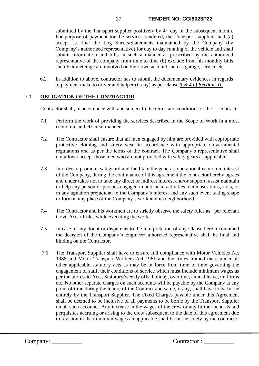submitted by the Transport supplier positively by  $4<sup>th</sup>$  day of the subsequent month. For purpose of payment for the services rendered, the Transport supplier shall (a) accept as final the Log Sheets/Statements maintained by the Company (by Company's authorized representative) for day to day running of the vehicle and shall submit information and bills in such a manner as prescribed by the authorized representative of the company from time to time (b) exclude from his monthly bills such Kilometerage are involved on their own account such as garage, service etc.

6.2 In addition to above, contractor has to submit the documentary evidences in regards to payment make to driver and helper (if any) as per clause *3 & 4 of Section -II.*

# 7.0 **OBLIGATION OF THE CONTRACTOR**

Contractor shall, in accordance with and subject to the terms and conditions of the contract

- 7.1 Perform the work of providing the services described in the Scope of Work in a most economic and efficient manner.
- 7.2 The Contractor shall ensure that all men engaged by him are provided with appropriate protective clothing and safety wear in accordance with appropriate Governmental regulations and as per the terms of the contract. The Company's representative shall not allow / accept those men who are not provided with safety gears as applicable.
- 7.3 In order to promote, safeguard and facilitate the general, operational economic interest of the Company, during the continuance of this agreement the contractor hereby agrees and under takes not to take any direct or indirect interest and/or support, assist maintain or help any person or persons engaged in antisocial activities, demonstrations, riots, or in any agitation prejudicial to the Company's interest and any such event taking shape or form at any place of the Company's work and its neighborhood.
- 7.4 The Contractor and his workmen are to strictly observe the safety rules as per relevant Govt. Acts / Rules while executing the work.
- 7.5 In case of any doubt or dispute as to the interpretation of any Clause herein contained the decision of the Company's Engineer/authorized representative shall be final and binding on the Contractor.
- 7.6 The Transport Supplier shall have to ensure full compliance with Motor Vehicles Act 1988 and Motor Transport Workers Act 1961 and the Rules framed there under all other applicable statutory acts as may be in force from time to time governing the engagement of staff, their conditions of service which must include minimum wages as per the aforesaid Acts, Statutory/weekly offs, holiday, overtime, annual leave, uniforms etc. No other separate charges on such accounts will be payable by the Company at any point of time during the tenure of the Contract and same, if any, shall have to be borne entirely by the Transport Supplier. The Fixed Charges payable under this Agreement shall be deemed to be inclusive of all payments to be borne by the Transport Supplier on all such accounts. Any increase in the wages of the crew or any further benefits and perquisites accruing or arising to the crew subsequent to the date of this agreement due to revision in the minimum wages an applicable shall be borne solely by the contractor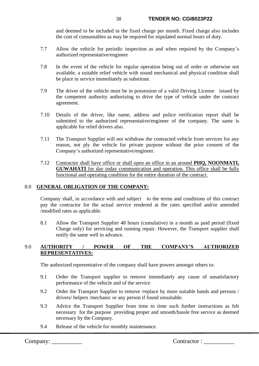and deemed to be included in the fixed charge per month. Fixed charge also includes the cost of consumables as may be required for stipulated normal hours of duty.

- 7.7 Allow the vehicle for periodic inspection as and when required by the Company's authorized representative/engineer
- 7.8 In the event of the vehicle for regular operation being out of order or otherwise not available, a suitable relief vehicle with sound mechanical and physical condition shall be place in service immediately as substitute.
- 7.9 The driver of the vehicle must be in possession of a valid Driving License issued by the competent authority authorizing to drive the type of vehicle under the contract agreement.
- 7.10 Details of the driver, like name, address and police verification report shall be submitted to the authorized representative/engineer of the company. The same is applicable for relief drivers also.
- 7.11 The Transport Supplier will not withdraw the contracted vehicle from services for any reason, not ply the vehicle for private purpose without the prior consent of the Company's authorized representative/engineer.
- 7.12 Contractor shall have office or shall open an office in an around **PHQ, NOONMATI, GUWAHATI** for day today communication and operation. This office shall be fully functional and operating condition for the entire duration of the contract.

## 8.0 **GENERAL OBLIGATION OF THE COMPANY:**

Company shall, in accordance with and subject to the terms and conditions of this contract pay the contractor for the actual service rendered at the rates specified and/or amended /modified rates as applicable.

8.1 Allow the Transport Supplier 48 hours (cumulative) in a month as paid period (fixed Charge only) for servicing and running repair. However, the Transport supplier shall notify the same well in advance.

# 9.0 **AUTHORITY / POWER OF THE COMPANY'S AUTHORIZED REPRESENTATIVES:**

The authorized representative of the company shall have powers amongst others to:

- 9.1 Order the Transport supplier to remove immediately any cause of unsatisfactory performance of the vehicle and of the service
- 9.2 Order the Transport Supplier to remove /replace by more suitable hands and persons / drivers/ helpers /mechanic or any person if found unsuitable.
- 9.3 Advice the Transport Supplier from time to time such further instructions as felt necessary for the purpose providing proper and smooth/hassle free service as deemed necessary by the Company.
- 9.4 Release of the vehicle for monthly maintenance.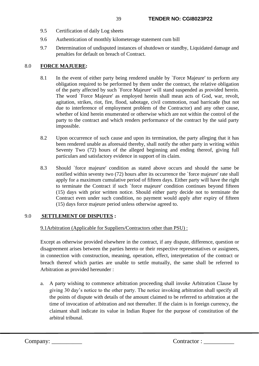- 9.5 Certification of daily Log sheets
- 9.6 Authentication of monthly kilometerage statement cum bill
- 9.7 Determination of undisputed instances of shutdown or standby, Liquidated damage and penalties for default on breach of Contract.

# 8.0 **FORCE MAJUERE:**

- 8.1 In the event of either party being rendered unable by `Force Majeure' to perform any obligation required to be performed by them under the contract, the relative obligation of the party affected by such `Force Majeure' will stand suspended as provided herein. The word `Force Majeure' as employed herein shall mean acts of God, war, revolt, agitation, strikes, riot, fire, flood, sabotage, civil commotion, road barricade (but not due to interference of employment problem of the Contractor) and any other cause, whether of kind herein enumerated or otherwise which are not within the control of the party to the contract and which renders performance of the contract by the said party impossible.
- 8.2 Upon occurrence of such cause and upon its termination, the party alleging that it has been rendered unable as aforesaid thereby, shall notify the other party in writing within Seventy Two (72) hours of the alleged beginning and ending thereof, giving full particulars and satisfactory evidence in support of its claim.
- 8.3 Should `force majeure' condition as stated above occurs and should the same be notified within seventy two (72) hours after its occurrence the `force majeure' rate shall apply for a maximum cumulative period of fifteen days. Either party will have the right to terminate the Contract if such `force majeure' condition continues beyond fifteen (15) days with prior written notice. Should either party decide not to terminate the Contract even under such condition, no payment would apply after expiry of fifteen (15) days force majeure period unless otherwise agreed to.

# 9.0 **SETTLEMENT OF DISPUTES :**

# 9.1Arbitration (Applicable for Suppliers/Contractors other than PSU) :

Except as otherwise provided elsewhere in the contract, if any dispute, difference, question or disagreement arises between the parties hereto or their respective representatives or assignees, in connection with construction, meaning, operation, effect, interpretation of the contract or breach thereof which parties are unable to settle mutually, the same shall be referred to Arbitration as provided hereunder :

a. A party wishing to commence arbitration proceeding shall invoke Arbitration Clause by giving 30 day's notice to the other party. The notice invoking arbitration shall specify all the points of dispute with details of the amount claimed to be referred to arbitration at the time of invocation of arbitration and not thereafter. If the claim is in foreign currency, the claimant shall indicate its value in Indian Rupee for the purpose of constitution of the arbitral tribunal.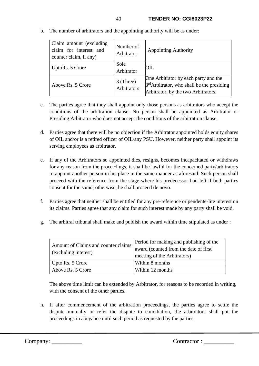| Claim amount (excluding)<br>claim for interest and<br>counter claim, if any) | Number of<br>Arbitrator  | <b>Appointing Authority</b>                                                                                                 |
|------------------------------------------------------------------------------|--------------------------|-----------------------------------------------------------------------------------------------------------------------------|
| UptoRs. 5 Crore                                                              | Sole<br>Arbitrator       | OIL                                                                                                                         |
| Above Rs. 5 Crore                                                            | 3 (Three)<br>Arbitrators | One Arbitrator by each party and the<br>$3rd$ Arbitrator, who shall be the presiding<br>Arbitrator, by the two Arbitrators. |

b. The number of arbitrators and the appointing authority will be as under:

- c. The parties agree that they shall appoint only those persons as arbitrators who accept the conditions of the arbitration clause. No person shall be appointed as Arbitrator or Presiding Arbitrator who does not accept the conditions of the arbitration clause.
- d. Parties agree that there will be no objection if the Arbitrator appointed holds equity shares of OIL and/or is a retired officer of OIL/any PSU. However, neither party shall appoint its serving employees as arbitrator.
- e. If any of the Arbitrators so appointed dies, resigns, becomes incapacitated or withdraws for any reason from the proceedings, it shall be lawful for the concerned party/arbitrators to appoint another person in his place in the same manner as aforesaid. Such person shall proceed with the reference from the stage where his predecessor had left if both parties consent for the same; otherwise, he shall proceed de novo.
- f. Parties agree that neither shall be entitled for any pre-reference or pendente-lite interest on its claims. Parties agree that any claim for such interest made by any party shall be void.
- g. The arbitral tribunal shall make and publish the award within time stipulated as under :

| Amount of Claims and counter claims<br>(excluding interest) | Period for making and publishing of the<br>award (counted from the date of first<br>meeting of the Arbitrators) |  |
|-------------------------------------------------------------|-----------------------------------------------------------------------------------------------------------------|--|
| Upto Rs. 5 Crore                                            | Within 8 months                                                                                                 |  |
| Above Rs. 5 Crore                                           | Within 12 months                                                                                                |  |

The above time limit can be extended by Arbitrator, for reasons to be recorded in writing, with the consent of the other parties.

h. If after commencement of the arbitration proceedings, the parties agree to settle the dispute mutually or refer the dispute to conciliation, the arbitrators shall put the proceedings in abeyance until such period as requested by the parties.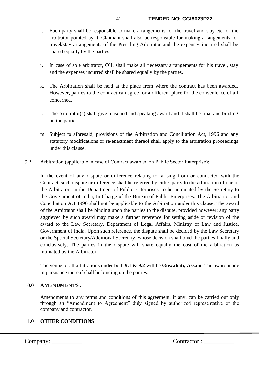- i. Each party shall be responsible to make arrangements for the travel and stay etc. of the arbitrator pointed by it. Claimant shall also be responsible for making arrangements for travel/stay arrangements of the Presiding Arbitrator and the expenses incurred shall be shared equally by the parties.
- j. In case of sole arbitrator, OIL shall make all necessary arrangements for his travel, stay and the expenses incurred shall be shared equally by the parties.
- k. The Arbitration shall be held at the place from where the contract has been awarded. However, parties to the contract can agree for a different place for the convenience of all concerned.
- l. The Arbitrator(s) shall give reasoned and speaking award and it shall be final and binding on the parties.
- m. Subject to aforesaid, provisions of the Arbitration and Conciliation Act, 1996 and any statutory modifications or re-enactment thereof shall apply to the arbitration proceedings under this clause.

# 9.2 Arbitration (applicable in case of Contract awarded on Public Sector Enterprise):

In the event of any dispute or difference relating to, arising from or connected with the Contract, such dispute or difference shall be referred by either party to the arbitration of one of the Arbitrators in the Department of Public Enterprises, to be nominated by the Secretary to the Government of India, In-Charge of the Bureau of Public Enterprises. The Arbitration and Conciliation Act 1996 shall not be applicable to the Arbitration under this clause. The award of the Arbitrator shall be binding upon the parties to the dispute, provided however; any party aggrieved by such award may make a further reference for setting aside or revision of the award to the Law Secretary, Department of Legal Affairs, Ministry of Law and Justice, Government of India. Upon such reference, the dispute shall be decided by the Law Secretary or the Special Secretary/Additional Secretary, whose decision shall bind the parties finally and conclusively. The parties in the dispute will share equally the cost of the arbitration as intimated by the Arbitrator.

The venue of all arbitrations under both **9.1 & 9.2** will be **Guwahati, Assam**. The award made in pursuance thereof shall be binding on the parties.

# 10.0 **AMENDMENTS :**

Amendments to any terms and conditions of this agreement, if any, can be carried out only through an "Amendment to Agreement" duly signed by authorized representative of the company and contractor.

# 11.0 **OTHER CONDITIONS**

Company: \_

| Contractor: |  |
|-------------|--|
|             |  |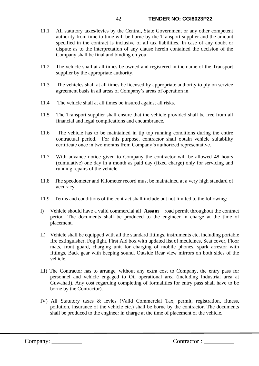- 11.1 All statutory taxes/levies by the Central, State Government or any other competent authority from time to time will be borne by the Transport supplier and the amount specified in the contract is inclusive of all tax liabilities. In case of any doubt or dispute as to the interpretation of any clause herein contained the decision of the Company shall be final and binding on you.
- 11.2 The vehicle shall at all times be owned and registered in the name of the Transport supplier by the appropriate authority.
- 11.3 The vehicles shall at all times be licensed by appropriate authority to ply on service agreement basis in all areas of Company's areas of operation in.
- 11.4 The vehicle shall at all times be insured against all risks.
- 11.5 The Transport supplier shall ensure that the vehicle provided shall be free from all financial and legal complications and encumbrance.
- 11.6 The vehicle has to be maintained in tip top running conditions during the entire contractual period. For this purpose, contractor shall obtain vehicle suitability certificate once in two months from Company's authorized representative.
- 11.7 With advance notice given to Company the contractor will be allowed 48 hours (cumulative) one day in a month as paid day (fixed charge) only for servicing and running repairs of the vehicle.
- 11.8 The speedometer and Kilometer record must be maintained at a very high standard of accuracy.
- 11.9 Terms and conditions of the contract shall include but not limited to the following:
- I) Vehicle should have a valid commercial all **Assam** road permit throughout the contract period. The documents shall be produced to the engineer in charge at the time of placement.
- II) Vehicle shall be equipped with all the standard fittings, instruments etc, including portable fire extinguisher, Fog light, First Aid box with updated list of medicines, Seat cover, Floor mats, front guard, charging unit for charging of mobile phones, spark arrestor with fittings, Back gear with beeping sound, Outside Rear view mirrors on both sides of the vehicle.
- III) The Contractor has to arrange, without any extra cost to Company, the entry pass for personnel and vehicle engaged to Oil operational area (including Industrial area at Guwahati). Any cost regarding completing of formalities for entry pass shall have to be borne by the Contractor).
- IV) All Statutory taxes & levies (Valid Commercial Tax, permit, registration, fitness, pollution, insurance of the vehicle etc.) shall be borne by the contractor. The documents shall be produced to the engineer in charge at the time of placement of the vehicle.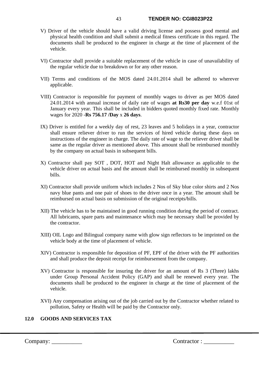- V) Driver of the vehicle should have a valid driving license and possess good mental and physical health condition and shall submit a medical fitness certificate in this regard. The documents shall be produced to the engineer in charge at the time of placement of the vehicle.
- VI) Contractor shall provide a suitable replacement of the vehicle in case of unavailability of the regular vehicle due to breakdown or for any other reason.
- VII) Terms and conditions of the MOS dated 24.01.2014 shall be adhered to wherever applicable.
- VIII) Contractor is responsible for payment of monthly wages to driver as per MOS dated 24.01.2014 with annual increase of daily rate of wages **at Rs30 per day** w.e.f 01st of January every year. This shall be included in bidders quoted monthly fixed rate. Monthly wages for 2020 -**Rs 756.17 /Day** x **26 days**.
- IX) Driver is entitled for a weekly day of rest, 23 leaves and 5 holidays in a year, contractor shall ensure reliever driver to run the services of hired vehicle during these days on instructions of the engineer in charge. The daily rate of wage to the reliever driver shall be same as the regular driver as mentioned above. This amount shall be reimbursed monthly by the company on actual basis in subsequent bills.
- X) Contractor shall pay SOT , DOT, HOT and Night Halt allowance as applicable to the vehicle driver on actual basis and the amount shall be reimbursed monthly in subsequent bills.
- XI) Contractor shall provide uniform which includes 2 Nos of Sky blue color shirts and 2 Nos navy blue pants and one pair of shoes to the driver once in a year. The amount shall be reimbursed on actual basis on submission of the original receipts/bills.
- XII) The vehicle has to be maintained in good running condition during the period of contract. All lubricants, spare parts and maintenance which may be necessary shall be provided by the contractor.
- XIII) OIL Logo and Bilingual company name with glow sign reflectors to be imprinted on the vehicle body at the time of placement of vehicle.
- XIV) Contractor is responsible for deposition of PF, EPF of the driver with the PF authorities and shall produce the deposit receipt for reimbursement from the company.
- XV) Contractor is responsible for insuring the driver for an amount of Rs 3 (Three) lakhs under Group Personal Accident Policy (GAP) and shall be renewed every year. The documents shall be produced to the engineer in charge at the time of placement of the vehicle.
- XVI) Any compensation arising out of the job carried out by the Contractor whether related to pollution, Safety or Health will be paid by the Contractor only.

# **12.0 GOODS AND SERVICES TAX**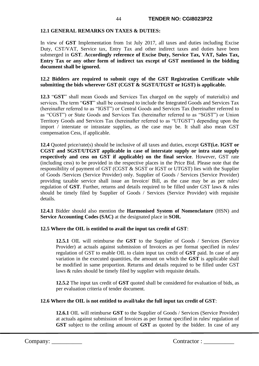# **12.1 GENERAL REMARKS ON TAXES & DUTIES:**

In view of **GST** Implementation from 1st July 2017, all taxes and duties including Excise Duty, CST/VAT, Service tax, Entry Tax and other indirect taxes and duties have been submerged in **GST**. **Accordingly reference of Excise Duty, Service Tax, VAT, Sales Tax, Entry Tax or any other form of indirect tax except of GST mentioned in the bidding document shall be ignored.** 

# **12.2 Bidders are required to submit copy of the GST Registration Certificate while submitting the bids wherever GST (CGST & SGST/UTGST or IGST) is applicable.**

**12.3** "**GST**" shall mean Goods and Services Tax charged on the supply of material(s) and services. The term "**GST**" shall be construed to include the Integrated Goods and Services Tax (hereinafter referred to as "IGST") or Central Goods and Services Tax (hereinafter referred to as "CGST") or State Goods and Services Tax (hereinafter referred to as "SGST") or Union Territory Goods and Services Tax (hereinafter referred to as "UTGST") depending upon the import / interstate or intrastate supplies, as the case may be. It shall also mean GST compensation Cess, if applicable.

**12.4** Quoted price/rate(s) should be inclusive of all taxes and duties, except **GST(i.e. IGST or CGST and SGST/UTGST applicable in case of interstate supply or intra state supply respectively and cess on GST if applicable) on the final service**. However, GST rate (including cess) to be provided in the respective places in the Price Bid. Please note that the responsibility of payment of GST (CGST & SGST or IGST or UTGST) lies with the Supplier of Goods /Services (Service Provider) only. Supplier of Goods / Services (Service Provider) providing taxable service shall issue an Invoice/ Bill, as the case may be as per rules/ regulation of **GST**. Further, returns and details required to be filled under GST laws & rules should be timely filed by Supplier of Goods / Services (Service Provider) with requisite details.

**12.4.1** Bidder should also mention the **Harmonised System of Nomenclature** (HSN) and **Service Accounting Codes (SAC)** at the designated place in **SOR.**

## **12.5 Where the OIL is entitled to avail the input tax credit of GST**:

**12.5.1** OIL will reimburse the **GST** to the Supplier of Goods / Services (Service Provider) at actuals against submission of Invoices as per format specified in rules/ regulation of GST to enable OIL to claim input tax credit of **GST** paid. In case of any variation in the executed quantities, the amount on which the **GST** is applicable shall be modified in same proportion. Returns and details required to be filled under GST laws & rules should be timely filed by supplier with requisite details.

**12.5.2** The input tax credit of **GST** quoted shall be considered for evaluation of bids, as per evaluation criteria of tender document.

## **12.6 Where the OIL is not entitled to avail/take the full input tax credit of GST**:

**12.6.1** OIL will reimburse **GST** to the Supplier of Goods / Services (Service Provider) at actuals against submission of Invoices as per format specified in rules/ regulation of **GST** subject to the ceiling amount of **GST** as quoted by the bidder. In case of any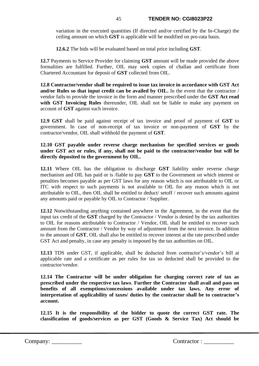variation in the executed quantities (If directed and/or certified by the In-Charge) the ceiling amount on which **GST** is applicable will be modified on pro-rata basis.

**12.6.2** The bids will be evaluated based on total price including **GST**.

**12.7** Payments to Service Provider for claiming **GST** amount will be made provided the above formalities are fulfilled. Further, OIL may seek copies of challan and certificate from Chartered Accountant for deposit of **GST** collected from OIL.

**12.8 Contractor/vendor shall be required to issue tax invoice in accordance with GST Act and/or Rules so that input credit can be availed by OIL.** In the event that the contractor / vendor fails to provide the invoice in the form and manner prescribed under the **GST Act read** with GST Invoicing Rules thereunder, OIL shall not be liable to make any payment on account of **GST** against such invoice.

**12.9 GST** shall be paid against receipt of tax invoice and proof of payment of **GST** to government. In case of non-receipt of tax invoice or non-payment of **GST** by the contractor/vendor, OIL shall withhold the payment of **GST**.

# **12.10 GST payable under reverse charge mechanism for specified services or goods under GST act or rules, if any, shall not be paid to the contractor/vendor but will be directly deposited to the government by OIL.**

**12.11** Where OIL has the obligation to discharge **GST** liability under reverse charge mechanism and OIL has paid or is /liable to pay **GST** to the Government on which interest or penalties becomes payable as per GST laws for any reason which is not attributable to OIL or ITC with respect to such payments is not available to OIL for any reason which is not attributable to OIL, then OIL shall be entitled to deduct/ setoff / recover such amounts against any amounts paid or payable by OIL to Contractor / Supplier.

**12.12** Notwithstanding anything contained anywhere in the Agreement, in the event that the input tax credit of the **GST** charged by the Contractor / Vendor is denied by the tax authorities to OIL for reasons attributable to Contractor / Vendor, OIL shall be entitled to recover such amount from the Contractor / Vendor by way of adjustment from the next invoice. In addition to the amount of **GST**, OIL shall also be entitled to recover interest at the rate prescribed under GST Act and penalty, in case any penalty is imposed by the tax authorities on OIL.

**12.13** TDS under GST, if applicable, shall be deducted from contractor's/vendor's bill at applicable rate and a certificate as per rules for tax so deducted shall be provided to the contractor/vendor.

**12.14 The Contractor will be under obligation for charging correct rate of tax as prescribed under the respective tax laws**. **Further the Contractor shall avail and pass on benefits of all exemptions/concessions available under tax laws. Any error of interpretation of applicability of taxes/ duties by the contractor shall be to contractor's account.**

**12.15 It is the responsibility of the bidder to quote the correct GST rate. The classification of goods/services as per GST (Goods & Service Tax) Act should be**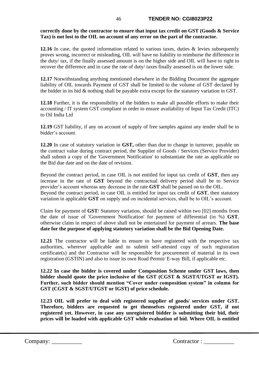# **correctly done by the contractor to ensure that input tax credit on GST (Goods & Service Tax) is not lost to the OIL on account of any error on the part of the contractor.**

**12.16** In case, the quoted information related to various taxes, duties & levies subsequently proves wrong, incorrect or misleading, OIL will have no liability to reimburse the difference in the duty/ tax, if the finally assessed amount is on the higher side and OIL will have to right to recover the difference and in case the rate of duty/ taxes finally assessed is on the lower side.

**12.17** Notwithstanding anything mentioned elsewhere in the Bidding Document the aggregate liability of OIL towards Payment of GST shall be limited to the volume of GST declared by the bidder in its bid & nothing shall be payable extra except for the statutory variation in GST.

**12.18** Further, it is the responsibility of the bidders to make all possible efforts to make their accounting / IT system GST compliant in order to ensure availability of Input Tax Credit (ITC) to Oil India Ltd

**12.19** GST liability, if any on account of supply of free samples against any tender shall be to bidder's account.

**12.20** In case of statutory variation in **GST,** other than due to change in turnover, payable on the contract value during contract period, the Supplier of Goods / Services (Service Provider) shall submit a copy of the 'Government Notification' to substantiate the rate as applicable on the Bid due date and on the date of revision.

Beyond the contract period, in case OIL is not entitled for input tax credit of **GST**, then any increase in the rate of **GST** beyond the contractual delivery period shall be to Service provider's account whereas any decrease in the rate **GST** shall be passed on to the OIL. Beyond the contract period, in case OIL is entitled for input tax credit of **GST**, then statutory variation in applicable **GST** on supply and on incidental services, shall be to OIL's account.

Claim for payment of **GST**/ Statutory variation, should be raised within two [02] months from the date of issue of 'Government Notification' for payment of differential (in %) **GST**, otherwise claim in respect of above shall not be entertained for payment of arrears. **The base date for the purpose of applying statutory variation shall be the Bid Opening Date.**

**12.21** The contractor will be liable to ensure to have registered with the respective tax authorities, wherever applicable and to submit self-attested copy of such registration certificate(s) and the Contractor will be responsible for procurement of material in its own registration (GSTIN) and also to issue its own Road Permit/ E-way Bill, if applicable etc.

**12.22 In case the bidder is covered under Composition Scheme under GST laws, then bidder should quote the price inclusive of the GST (CGST & SGST/UTGST or IGST). Further, such bidder should mention "Cover under composition system" in column for GST (CGST & SGST/UTGST or IGST) of price schedule.** 

**12.23 OIL will prefer to deal with registered supplier of goods/ services under GST. Therefore, bidders are requested to get themselves registered under GST, if not registered yet. However, in case any unregistered bidder is submitting their bid, their prices will be loaded with applicable GST while evaluation of bid. Where OIL is entitled**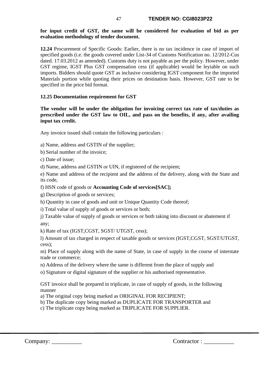# **for input credit of GST, the same will be considered for evaluation of bid as per evaluation methodology of tender document.**

**12.24** Procurement of Specific Goods: Earlier, there is no tax incidence in case of import of specified goods (i.e. the goods covered under List-34 of Customs Notification no. 12/2012-Cus dated. 17.03.2012 as amended). Customs duty is not payable as per the policy. However, under GST regime, IGST Plus GST compensation cess (if applicable) would be leyiable on such imports. Bidders should quote GST as inclusive considering IGST component for the imported Materials portion while quoting their prices on destination basis. However, GST rate to be specified in the price bid format.

# **12.25 Documentation requirement for GST**

**The vendor will be under the obligation for invoicing correct tax rate of tax/duties as prescribed under the GST law to OIL, and pass on the benefits, if any, after availing input tax credit.** 

Any invoice issued shall contain the following particulars :

a) Name, address and GSTIN of the supplier;

b) Serial number of the invoice;

c) Date of issue;

d) Name, address and GSTIN or UIN, if registered of the recipient;

e) Name and address of the recipient and the address of the delivery, along with the State and its code,

f) HSN code of goods or **Accounting Code of services[SAC];**

g) Description of goods or services;

h) Quantity in case of goods and unit or Unique Quantity Code thereof;

i) Total value of supply of goods or services or both;

j) Taxable value of supply of goods or services or both taking into discount or abatement if any;

k) Rate of tax (IGST,CGST, SGST/ UTGST, cess);

l) Amount of tax charged in respect of taxable goods or services (IGST,CGST, SGST/UTGST, cess);

m) Place of supply along with the name of State, in case of supply in the course of interstate trade or commerce;

n) Address of the delivery where the same is different from the place of supply and

o) Signature or digital signature of the supplier or his authorised representative.

GST invoice shall be prepared in triplicate, in case of supply of goods, in the following manner

a) The original copy being marked as ORIGINAL FOR RECIPIENT;

b) The duplicate copy being marked as DUPLICATE FOR TRANSPORTER and

c) The triplicate copy being marked as TRIPLICATE FOR SUPPLIER.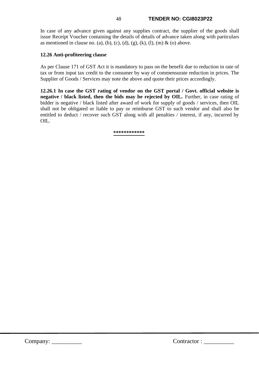In case of any advance given against any supplies contract, the supplier of the goods shall issue Receipt Voucher containing the details of details of advance taken along with particulars as mentioned in clause no. (a), (b), (c), (d), (g), (k), (l), (m) & (o) above.

# **12.26 Anti-profiteering clause**

As per Clause 171 of GST Act it is mandatory to pass on the benefit due to reduction in rate of tax or from input tax credit to the consumer by way of commensurate reduction in prices. The Supplier of Goods / Services may note the above and quote their prices accordingly.

**12.26.1 In case the GST rating of vendor on the GST portal / Govt. official website is negative / black listed, then the bids may be rejected by OIL.** Further, in case rating of bidder is negative / black listed after award of work for supply of goods / services, then OIL shall not be obligated or liable to pay or reimburse GST to such vendor and shall also be entitled to deduct / recover such GST along with all penalties / interest, if any, incurred by OIL.

**\*\*\*\*\*\*\*\*\*\*\*\***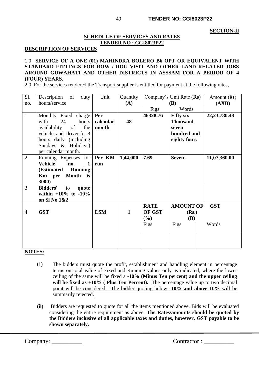# **SCHEDULE OF SERVICES AND RATES TENDER NO : CGI8023P22**

**DESCRIPTION OF SERVICES** 

# 1.0 **SERVICE OF A ONE (01) MAHINDRA BOLERO B6 OPT OR EQUIVALENT WITH STANDARD FITTINGS FOR ROW / ROU VISIT AND OTHER LAND RELATED JOBS AROUND GUWAHATI AND OTHER DISTRICTS IN ASSSAM FOR A PERIOD OF 4 (FOUR) YEARS.**

2.0 For the services rendered the Transport supplier is entitled for payment at the following rates,

| Company's Unit Rate (Rs)<br>Amount (Rs) |
|-----------------------------------------|
| (AXB)                                   |
|                                         |
| 22, 23, 780. 48                         |
|                                         |
|                                         |
| hundred and                             |
|                                         |
|                                         |
|                                         |
| 11,07,360.00                            |
|                                         |
|                                         |
|                                         |
|                                         |
|                                         |
|                                         |
|                                         |
| <b>GST</b><br><b>AMOUNT OF</b>          |
|                                         |
|                                         |
| Words                                   |
|                                         |
|                                         |
|                                         |
|                                         |

**NOTES:**

- (i) The bidders must quote the profit, establishment and handling element in percentage terms on total value of Fixed and Running values only as indicated, where the lower ceiling of the same will be fixed a **-10% (Minus Ten percent) and the upper ceiling**  will be fixed as  $+10\%$  (Plus Ten Percent). The percentage value up to two decimal point will be considered. The bidder quoting below **-10% and above 10%** will be summarily rejected.
- **(ii)** Bidders are requested to quote for all the items mentioned above. Bids will be evaluated considering the entire requirement as above. **The Rates/amounts should be quoted by the Bidders inclusive of all applicable taxes and duties, however, GST payable to be shown separately.**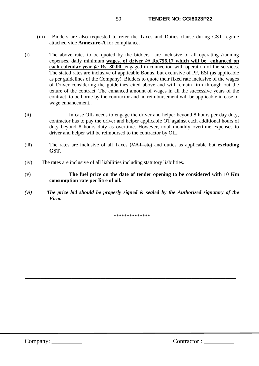- (iii) Bidders are also requested to refer the Taxes and Duties clause during GST regime attached vide **Annexure-A** for compliance.
- (i) The above rates to be quoted by the bidders are inclusive of all operating /running expenses, daily minimum **wages. of driver @ Rs.756.17 which will be enhanced on each calendar year @ Rs. 30.00** engaged in connection with operation of the services. The stated rates are inclusive of applicable Bonus, but exclusive of PF, ESI (as applicable as per guidelines of the Company). Bidders to quote their fixed rate inclusive of the wages of Driver considering the guidelines cited above and will remain firm through out the tenure of the contract. The enhanced amount of wages in all the successive years of the contract to be borne by the contractor and no reimbursement will be applicable in case of wage enhancement..
- (ii) In case OIL needs to engage the driver and helper beyond 8 hours per day duty, contractor has to pay the driver and helper applicable OT against each additional hours of duty beyond 8 hours duty as overtime. However, total monthly overtime expenses to driver and helper will be reimbursed to the contractor by OIL.
- (iii) The rates are inclusive of all Taxes (VAT etc) and duties as applicable but **excluding GST**.
- (iv) The rates are inclusive of all liabilities including statutory liabilities.
- (v) **The fuel price on the date of tender opening to be considered with 10 Km consumption rate per litre of oil.**
- *(vi) The price bid should be properly signed & sealed by the Authorized signatory of the Firm.*

\*\*\*\*\*\*\*\*\*\*\*\*\*\*

**\_\_\_\_\_\_\_\_\_\_\_\_\_\_\_\_\_\_\_\_\_\_\_\_\_\_\_\_\_\_\_\_\_\_\_\_\_\_\_\_\_\_\_\_\_\_\_\_\_\_\_\_\_\_\_\_\_\_\_\_\_\_\_\_\_\_\_\_\_\_\_\_\_\_\_\_\_\_\_\_\_**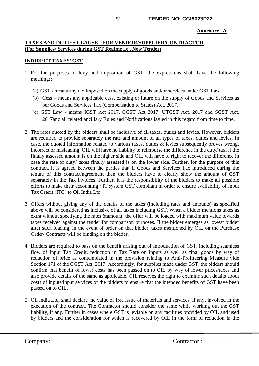### **Annexure –A**

# **TAXES AND DUTIES CLAUSE - FOR VENDOR/SUPPLIER/CONTRACTOR (For Supplies/ Services during GST Regime i.e., New Tender)**

## **INDIRECT TAXES/ GST**

- 1. For the purposes of levy and imposition of GST, the expressions shall have the following meanings:
	- (a) GST means any tax imposed on the supply of goods and/or services under GST Law.
	- (b) Cess means any applicable cess, existing or future on the supply of Goods and Services as per Goods and Services Tax (Compensation to States) Act, 2017.
	- (c) GST Law means IGST Act 2017, CGST Act 2017, UTGST Act, 2017 and SGST Act, 2017and all related ancillary Rules and Notifications issued in this regard from time to time.
- 2. The rates quoted by the bidders shall be inclusive of all taxes, duties and levies. However, bidders are required to provide separately the rate and amount of all types of taxes, duties and levies. In case, the quoted information related to various taxes, duties & levies subsequently proves wrong, incorrect or misleading, OIL will have no liability to reimburse the difference in the duty/ tax, if the finally assessed amount is on the higher side and OIL will have to right to recover the difference in case the rate of duty/ taxes finally assessed is on the lower side. Further, for the purpose of this contract, it is agreed between the parties that if Goods and Services Tax introduced during the tenure of this contract/agreement then the bidders have to clearly show the amount of GST separately in the Tax Invoices. Further, it is the responsibility of the bidders to make all possible efforts to make their accounting / IT system GST compliant in order to ensure availability of Input Tax Credit (ITC) to Oil India Ltd.
- 3. Offers without giving any of the details of the taxes (Including rates and amounts) as specified above will be considered as inclusive of all taxes including GST. When a bidder mentions taxes as extra without specifying the rates &amount, the offer will be loaded with maximum value towards taxes received against the tender for comparison purposes. If the bidder emerges as lowest bidder after such loading, in the event of order on that bidder, taxes mentioned by OIL on the Purchase Order/ Contracts will be binding on the bidder.
- 4. Bidders are required to pass on the benefit arising out of introduction of GST, including seamless flow of Input Tax Credit, reduction in Tax Rate on inputs as well as final goods by way of reduction of price as contemplated in the provision relating to Anti-Profiteering Measure vide Section 171 of the CGST Act, 2017. Accordingly, for supplies made under GST, the bidders should confirm that benefit of lower costs has been passed on to OIL by way of lower prices/taxes and also provide details of the same as applicable. OIL reserves the right to examine such details about costs of inputs/input services of the bidders to ensure that the intended benefits of GST have been passed on to OIL.
- 5. Oil India Ltd. shall declare the value of free issue of materials and services, if any, involved in the execution of the contract. The Contractor should consider the same while working out the GST liability, if any. Further in cases where GST is leviable on any facilities provided by OIL and used by bidders and the consideration for which is recovered by OIL in the form of reduction in the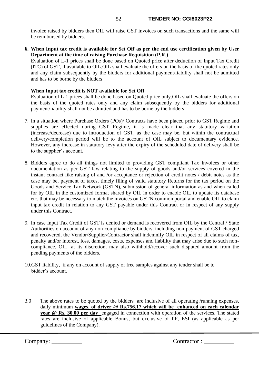invoice raised by bidders then OIL will raise GST invoices on such transactions and the same will be reimbursed by bidders.

**6. When Input tax credit is available for Set Off as per the end use certification given by User Department at the time of raising Purchase Requisition (P.R.)**

Evaluation of L-1 prices shall be done based on Quoted price after deduction of Input Tax Credit (ITC) of GST, if available to OIL.OIL shall evaluate the offers on the basis of the quoted rates only and any claim subsequently by the bidders for additional payment/liability shall not be admitted and has to be borne by the bidders

# **When Input tax credit is NOT available for Set Off**

Evaluation of L-1 prices shall be done based on Quoted price only.OIL shall evaluate the offers on the basis of the quoted rates only and any claim subsequently by the bidders for additional payment/liability shall not be admitted and has to be borne by the bidders

- 7. In a situation where Purchase Orders (POs)/ Contracts have been placed prior to GST Regime and supplies are effected during GST Regime, it is made clear that any statutory variation (increase/decrease) due to introduction of GST, as the case may be, but within the contractual delivery/completion period will be to the account of OIL subject to documentary evidence. However, any increase in statutory levy after the expiry of the scheduled date of delivery shall be to the supplier's account.
- 8. Bidders agree to do all things not limited to providing GST compliant Tax Invoices or other documentation as per GST law relating to the supply of goods and/or services covered in the instant contract like raising of and /or acceptance or rejection of credit notes / debit notes as the case may be, payment of taxes, timely filing of valid statutory Returns for the tax period on the Goods and Service Tax Network (GSTN), submission of general information as and when called for by OIL in the customized format shared by OIL in order to enable OIL to update its database etc. that may be necessary to match the invoices on GSTN common portal and enable OIL to claim input tax credit in relation to any GST payable under this Contract or in respect of any supply under this Contract.
- 9. In case Input Tax Credit of GST is denied or demand is recovered from OIL by the Central / State Authorities on account of any non-compliance by bidders, including non-payment of GST charged and recovered, the Vendor/Supplier/Contractor shall indemnify OIL in respect of all claims of tax, penalty and/or interest, loss, damages, costs, expenses and liability that may arise due to such noncompliance. OIL, at its discretion, may also withhold/recover such disputed amount from the pending payments of the bidders.
- 10.GST liability, if any on account of supply of free samples against any tender shall be to bidder's account.
- 3.0 The above rates to be quoted by the bidders are inclusive of all operating /running expenses, daily minimum **wages. of driver @ Rs.756.17 which will be enhanced on each calendar year @ Rs. 30.00 per day** engaged in connection with operation of the services. The stated rates are inclusive of applicable Bonus, but exclusive of PF, ESI (as applicable as per guidelines of the Company).

\_\_\_\_\_\_\_\_\_\_\_\_\_\_\_\_\_\_\_\_\_\_\_\_\_\_\_\_\_\_\_\_\_\_\_\_\_\_\_\_\_\_\_\_\_\_\_\_\_\_\_\_\_\_\_\_\_\_\_\_\_\_\_\_\_\_\_\_\_\_\_\_\_\_\_\_\_\_\_\_\_\_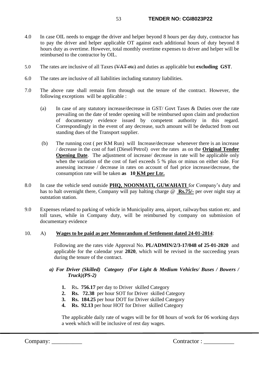- 4.0 In case OIL needs to engage the driver and helper beyond 8 hours per day duty, contractor has to pay the driver and helper applicable OT against each additional hours of duty beyond 8 hours duty as overtime. However, total monthly overtime expenses to driver and helper will be reimbursed to the contractor by OIL.
- 5.0 The rates are inclusive of all Taxes (VAT etc) and duties as applicable but **excluding GST**.
- 6.0 The rates are inclusive of all liabilities including statutory liabilities.
- 7.0 The above rate shall remain firm through out the tenure of the contract. However, the following exceptions will be applicable :
	- (a) In case of any statutory increase/decrease in GST/ Govt Taxes & Duties over the rate prevailing on the date of tender opening will be reimbursed upon claim and production of documentary evidence issued by competent authority in this regard. Correspondingly in the event of any decrease, such amount will be deducted from out standing dues of the Transport supplier.
	- (b) The running cost ( per KM Run) will Increase/decrease whenever there is an increase / decrease in the cost of fuel (Diesel/Petrol) over the rates as on the **Original Tender Opening Date**. The adjustment of increase/ decrease in rate will be applicable only when the variation of the cost of fuel exceeds 5 % plus or minus on either side. For assessing increase / decrease in rates on account of fuel price increase/decrease, the consumption rate will be taken **as 10 KM per Ltr.**
- 8.0 In case the vehicle send outside **PHQ, NOONMATI, GUWAHATI** for Company's duty and has to halt overnight there, Company will pay halting charge @ **Rs.75/-** per over night stay at outstation station.
- 9.0 Expenses related to parking of vehicle in Municipality area, airport, railway/bus station etc. and toll taxes, while in Company duty, will be reimbursed by company on submission of documentary evidence

## 10. A) **Wages to be paid as per Memorandum of Settlement dated 24-01-2014**:

Following are the rates vide Approval No. **PL/ADMIN/2/3-17/048 of 25-01-2020** and applicable for the calendar year **2020**, which will be revised in the succeeding years during the tenure of the contract.

# *a) For Driver (Skilled) Category (For Light & Medium Vehicles/ Buses / Bowers / Truck)(PS-2)*

- **1.** Rs**. 756.17** per day to Driver skilled Category
- **2. Rs. 72.38** per hour SOT for Driver skilled Category
- **3. Rs. 184.25** per hour DOT for Driver skilled Category
- **4. Rs. 92.13** per hour HOT for Driver skilled Category

The applicable daily rate of wages will be for 08 hours of work for 06 working days a week which will be inclusive of rest day wages.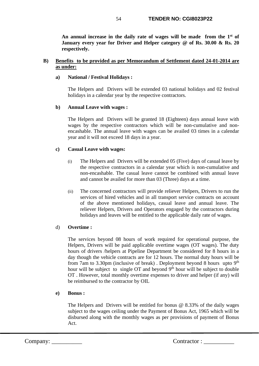**An annual increase in the daily rate of wages will be made from the 1st of January every year for Driver and Helper category @ of Rs. 30.00 & Rs. 20 respectively.**

# **B) Benefits to be provided as per Memorandum of Settlement dated 24-01-2014 are as under:**

# **a) National / Festival Holidays :**

The Helpers and Drivers will be extended 03 national holidays and 02 festival holidays in a calendar year by the respective contractors.

# **b) Annual Leave with wages :**

The Helpers and Drivers will be granted 18 (Eighteen) days annual leave with wages by the respective contractors which will be non-cumulative and nonencashable. The annual leave with wages can be availed 03 times in a calendar year and it will not exceed 18 days in a year.

# **c) Casual Leave with wages:**

- (i) The Helpers and Drivers will be extended 05 (Five) days of casual leave by the respective contractors in a calendar year which is non-cumulative and non-encashable. The casual leave cannot be combined with annual leave and cannot be availed for more than 03 (Three) days at a time.
- (ii) The concerned contractors will provide reliever Helpers, Drivers to run the services of hired vehicles and in all transport service contracts on account of the above mentioned holidays, casual leave and annual leave. The reliever Helpers, Drivers and Operators engaged by the contractors during holidays and leaves will be entitled to the applicable daily rate of wages.

## d) **Overtime :**

The services beyond 08 hours of work required for operational purpose, the Helpers, Drivers will be paid applicable overtime wages (OT wages). The duty hours of drivers /helpers at Pipeline Department be considered for 8 hours in a day though the vehicle contracts are for 12 hours. The normal duty hours will be from 7am to 3.30pm (inclusive of break). Deployment beyond 8 hours upto  $9<sup>th</sup>$ hour will be subject to single OT and beyond  $9<sup>th</sup>$  hour will be subject to double OT . However, total monthly overtime expenses to driver and helper (if any) will be reimbursed to the contractor by OIL

## **e) Bonus :**

The Helpers and Drivers will be entitled for bonus @ 8.33% of the daily wages subject to the wages ceiling under the Payment of Bonus Act, 1965 which will be disbursed along with the monthly wages as per provisions of payment of Bonus Act.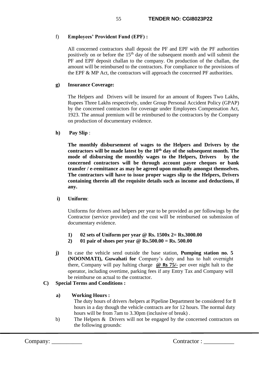# f) **Employees' Provident Fund (EPF) :**

All concerned contractors shall deposit the PF and EPF with the PF authorities positively on or before the  $15<sup>th</sup>$  day of the subsequent month and will submit the PF and EPF deposit challan to the company. On production of the challan, the amount will be reimbursed to the contractors. For compliance to the provisions of the EPF & MP Act, the contractors will approach the concerned PF authorities.

# **g) Insurance Coverage:**

The Helpers and Drivers will be insured for an amount of Rupees Two Lakhs, Rupees Three Lakhs respectively, under Group Personal Accident Policy (GPAP) by the concerned contractors for coverage under Employees Compensation Act, 1923. The annual premium will be reimbursed to the contractors by the Company on production of documentary evidence.

# **h) Pay Slip** :

**The monthly disbursement of wages to the Helpers and Drivers by the contractors will be made latest by the 10th day of the subsequent month. The mode of disbursing the monthly wages to the Helpers, Drivers by the concerned contractors will be through account payee cheques or bank transfer / e-remittance as may be agreed upon mutually amongst themselves. The contractors will have to issue proper wages slip to the Helpers, Drivers containing therein all the requisite details such as income and deductions, if any.**

## **i) Uniform**:

Uniforms for drivers and helpers per year to be provided as per followings by the Contractor (service provider) and the cost will be reimbursed on submission of documentary evidence.

- **1) 02 sets of Uniform per year @ Rs. 1500x 2= Rs.3000.00**
- **2) 01 pair of shoes per year @ Rs.500.00 = Rs. 500.00**
- **j)** In case the vehicle send outside the base station, **Pumping station no. 5 (NOONMATI), Guwahati for** Company's duty and has to halt overnight there, Company will pay halting charge **@ Rs 75/-** per over night halt to the operator, including overtime, parking fees if any Entry Tax and Company will be reimburse on actual to the contractor.

# **C) Special Terms and Conditions :**

## **a) Working Hours :**

The duty hours of drivers /helpers at Pipeline Department be considered for 8 hours in a day though the vehicle contracts are for 12 hours. The normal duty hours will be from 7am to 3.30pm (inclusive of break) .

b) The Helpers & Drivers will not be engaged by the concerned contractors on the following grounds: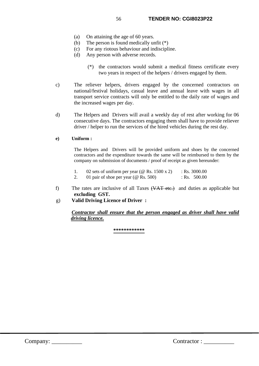- (a) On attaining the age of 60 years.
- (b) The person is found medically unfit (\*)
- (c) For any riotous behaviour and indiscipline.
- (d) Any person with adverse records.
	- (\*) the contractors would submit a medical fitness certificate every two years in respect of the helpers / drivers engaged by them.
- c) The reliever helpers, drivers engaged by the concerned contractors on national/festival holidays, casual leave and annual leave with wages in all transport service contracts will only be entitled to the daily rate of wages and the increased wages per day.
- d) The Helpers and Drivers will avail a weekly day of rest after working for 06 consecutive days. The contractors engaging them shall have to provide reliever driver / helper to run the services of the hired vehicles during the rest day.

### **e) Uniform :**

The Helpers and Drivers will be provided uniform and shoes by the concerned contractors and the expenditure towards the same will be reimbursed to them by the company on submission of documents / proof of receipt as given hereunder:

- 1. 02 sets of uniform per year (@ Rs. 1500 x 2) : Rs. 3000.00
- 2. 01 pair of shoe per year  $(\textcircled{e}$  Rs. 500 $)$  : Rs. 500.00
- f) The rates are inclusive of all Taxes  $(\overline{VAT} \text{ etc.})$  and duties as applicable but **excluding GST.**
- g) **Valid Driving Licence of Driver :**

*Contractor shall ensure that the person engaged as driver shall have valid driving licence.*

#### **\*\*\*\*\*\*\*\*\*\*\*\***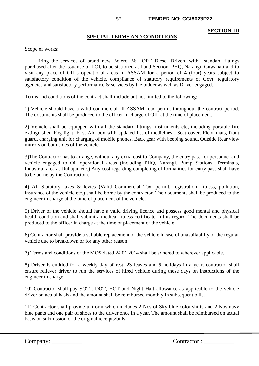### **SECTION-III**

# **SPECIAL TERMS AND CONDITIONS**

Scope of works:

 Hiring the services of brand new Bolero B6 OPT Diesel Driven, with standard fittings purchased after the issuance of LOI, to be stationed at Land Section, PHQ, Narangi, Guwahati and to visit any place of OIL's operational areas in ASSAM for a period of 4 (four) years subject to satisfactory condition of the vehicle, compliance of statutory requirements of Govt. regulatory agencies and satisfactory performance & services by the bidder as well as Driver engaged.

Terms and conditions of the contract shall include but not limited to the following:

1) Vehicle should have a valid commercial all ASSAM road permit throughout the contract period. The documents shall be produced to the officer in charge of OIL at the time of placement.

2) Vehicle shall be equipped with all the standard fittings, instruments etc, including portable fire extinguisher, Fog light, First Aid box with updated list of medicines , Seat cover, Floor mats, front guard, charging unit for charging of mobile phones, Back gear with beeping sound, Outside Rear view mirrors on both sides of the vehicle.

3)The Contractor has to arrange, without any extra cost to Company, the entry pass for personnel and vehicle engaged to Oil operational areas (including PHQ, Narangi, Pump Stations, Terminals, Industrial area at Duliajan etc.) Any cost regarding completing of formalities for entry pass shall have to be borne by the Contractor).

4) All Statutory taxes & levies (Valid Commercial Tax, permit, registration, fitness, pollution, insurance of the vehicle etc.) shall be borne by the contractor. The documents shall be produced to the engineer in charge at the time of placement of the vehicle.

5) Driver of the vehicle should have a valid driving licence and possess good mental and physical health condition and shall submit a medical fitness certificate in this regard. The documents shall be produced to the officer in charge at the time of placement of the vehicle.

6) Contractor shall provide a suitable replacement of the vehicle incase of unavailability of the regular vehicle due to breakdown or for any other reason.

7) Terms and conditions of the MOS dated 24.01.2014 shall be adhered to wherever applicable.

8) Driver is entitled for a weekly day of rest, 23 leaves and 5 holidays in a year, contractor shall ensure reliever driver to run the services of hired vehicle during these days on instructions of the engineer in charge.

10) Contractor shall pay SOT , DOT, HOT and Night Halt allowance as applicable to the vehicle driver on actual basis and the amount shall be reimbursed monthly in subsequent bills.

11) Contractor shall provide uniform which includes 2 Nos of Sky blue color shirts and 2 Nos navy blue pants and one pair of shoes to the driver once in a year. The amount shall be reimbursed on actual basis on submission of the original receipts/bills.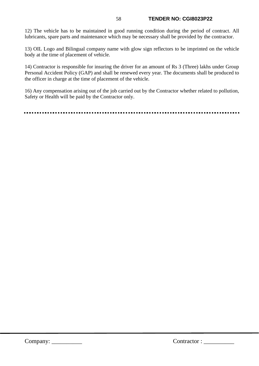12) The vehicle has to be maintained in good running condition during the period of contract. All lubricants, spare parts and maintenance which may be necessary shall be provided by the contractor.

13) OIL Logo and Bilingual company name with glow sign reflectors to be imprinted on the vehicle body at the time of placement of vehicle.

14) Contractor is responsible for insuring the driver for an amount of Rs 3 (Three) lakhs under Group Personal Accident Policy (GAP) and shall be renewed every year. The documents shall be produced to the officer in charge at the time of placement of the vehicle.

16) Any compensation arising out of the job carried out by the Contractor whether related to pollution, Safety or Health will be paid by the Contractor only.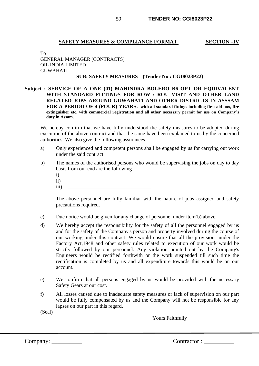# **SAFETY MEASURES & COMPLIANCE FORMAT SECTION –IV**

To GENERAL MANAGER (CONTRACTS) OIL INDIA LIMITED **GUWAHATI** 

**SUB: SAFETY MEASURES (Tender No : CGI8023P22)**

# **Subject : SERVICE OF A ONE (01) MAHINDRA BOLERO B6 OPT OR EQUIVALENT WITH STANDARD FITTINGS FOR ROW / ROU VISIT AND OTHER LAND RELATED JOBS AROUND GUWAHATI AND OTHER DISTRICTS IN ASSSAM FOR A PERIOD OF 4 (FOUR) YEARS. with all standard fittings including first aid box, fire extinguisher etc. with commercial registration and all other necessary permit for use on Company's duty in Assam.**

We hereby confirm that we have fully understood the safety measures to be adopted during execution of the above contract and that the same have been explained to us by the concerned authorities. We also give the following assurances.

- a) Only experienced and competent persons shall be engaged by us for carrying out work under the said contract.
- b) The names of the authorised persons who would be supervising the jobs on day to day basis from our end are the following
	- i) \_\_\_\_\_\_\_\_\_\_\_\_\_\_\_\_\_\_\_\_\_\_\_\_\_\_\_\_\_\_\_\_
	- ii) \_\_\_\_\_\_\_\_\_\_\_\_\_\_\_\_\_\_\_\_\_\_\_\_\_\_\_\_\_\_\_\_
	- iii) \_\_\_\_\_\_\_\_\_\_\_\_\_\_\_\_\_\_\_\_\_\_\_\_\_\_\_\_\_\_\_\_

The above personnel are fully familiar with the nature of jobs assigned and safety precautions required.

- c) Due notice would be given for any change of personnel under item(b) above.
- d) We hereby accept the responsibility for the safety of all the personnel engaged by us and for the safety of the Company's person and property involved during the course of our working under this contract. We would ensure that all the provisions under the Factory Act,1948 and other safety rules related to execution of our work would be strictly followed by our personnel. Any violation pointed out by the Company's Engineers would be rectified forthwith or the work suspended till such time the rectification is completed by us and all expenditure towards this would be on our account.
- e) We confirm that all persons engaged by us would be provided with the necessary Safety Gears at our cost.
- f) All losses caused due to inadequate safety measures or lack of supervision on our part would be fully compensated by us and the Company will not be responsible for any lapses on our part in this regard.

(Seal)

Yours Faithfully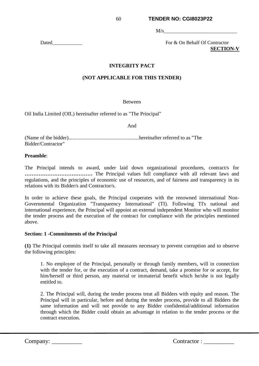$M/s$ 

Dated **Example 2.1** For & On Behalf Of Contractor **SECTION-V**

# **INTEGRITY PACT**

# **(NOT APPLICABLE FOR THIS TENDER)**

Between

Oil India Limited (OIL) hereinafter referred to as "The Principal"

And

(Name of the bidder)......................................................hereinafter referred to as "The Bidder/Contractor"

**Preamble**:

The Principal intends to award, under laid down organizational procedures, contract/s for **…………………………………** The Principal values full compliance with all relevant laws and regulations, and the principles of economic use of resources, and of fairness and transparency in its relations with its Bidder/s and Contractor/s.

In order to achieve these goals, the Principal cooperates with the renowned international Non-Governmental Organization "Transparency International" (TI). Following TI's national and international experience, the Principal will appoint an external independent Monitor who will monitor the tender process and the execution of the contract for compliance with the principles mentioned above.

# **Section: 1 -Commitments of the Principal**

**(1)** The Principal commits itself to take all measures necessary to prevent corruption and to observe the following principles:

1. No employee of the Principal, personally or through family members, will in connection with the tender for, or the execution of a contract, demand, take a promise for or accept, for him/herself or third person, any material or immaterial benefit which he/she is not legally entitled to.

2. The Principal will, during the tender process treat all Bidders with equity and reason. The Principal will in particular, before and during the tender process, provide to all Bidders the same information and will not provide to any Bidder confidential/additional information through which the Bidder could obtain an advantage in relation to the tender process or the contract execution.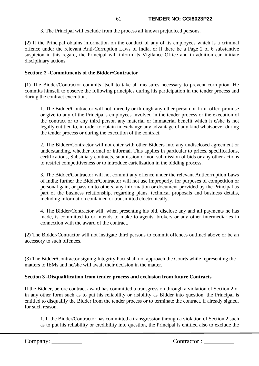3. The Principal will exclude from the process all known prejudiced persons.

**(2)** If the Principal obtains information on the conduct of any of its employees which is a criminal offence under the relevant Anti-Corruption Laws of India, or if there be a Page 2 of 6 substantive suspicion in this regard, the Principal will inform its Vigilance Office and in addition can initiate disciplinary actions.

# **Section: 2 -Commitments of the Bidder/Contractor**

**(1)** The Bidder/Contractor commits itself to take all measures necessary to prevent corruption. He commits himself to observe the following principles during his participation in the tender process and during the contract execution.

1. The Bidder/Contractor will not, directly or through any other person or firm, offer, promise or give to any of the Principal's employees involved in the tender process or the execution of the contract or to any third person any material or immaterial benefit which h e/she is not legally entitled to, in order to obtain in exchange any advantage of any kind whatsoever during the tender process or during the execution of the contract.

2. The Bidder/Contractor will not enter with other Bidders into any undisclosed agreement or understanding, whether formal or informal. This applies in particular to prices, specifications, certifications, Subsidiary contracts, submission or non-submission of bids or any other actions to restrict competitiveness or to introduce cartelization in the bidding process.

3. The Bidder/Contractor will not commit any offence under the relevant Anticorruption Laws of India; further the Bidder/Contractor will not use improperly, for purposes of competition or personal gain, or pass on to others, any information or document provided by the Principal as part of the business relationship, regarding plans, technical proposals and business details, including information contained or transmitted electronically.

4. The Bidder/Contractor will, when presenting his bid, disclose any and all payments he has made, is committed to or intends to make to agents, brokers or any other intermediaries in connection with the award of the contract.

**(2)** The Bidder/Contractor will not instigate third persons to commit offences outlined above or be an accessory to such offences.

(3) The Bidder/Contractor signing Integrity Pact shall not approach the Courts while representing the matters to IEMs and he/she will await their decision in the matter.

## **Section 3 -Disqualification from tender process and exclusion from future Contracts**

If the Bidder, before contract award has committed a transgression through a violation of Section 2 or in any other form such as to put his reliability or risibility as Bidder into question, the Principal is entitled to disqualify the Bidder from the tender process or to terminate the contract, if already signed, for such reason.

1. If the Bidder/Contractor has committed a transgression through a violation of Section 2 such as to put his reliability or credibility into question, the Principal is entitled also to exclude the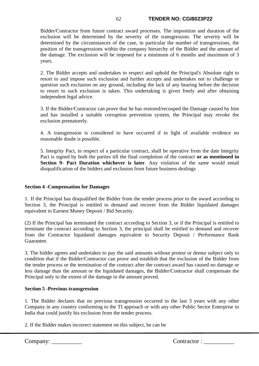Bidder/Contractor from future contract award processes. The imposition and duration of the exclusion will be determined by the severity of the transgression. The severity will be determined by the circumstances of the case, in particular the number of transgressions, the position of the transgressions within the company hierarchy of the Bidder and the amount of the damage. The exclusion will be imposed for a minimum of 6 months and maximum of 3 years.

2. The Bidder accepts and undertakes to respect and uphold the Principal's Absolute right to resort to and impose such exclusion and further accepts and undertakes not to challenge or question such exclusion on any ground, including the lack of any hearing before the decision to resort to such exclusion is taken. This undertaking is given freely and after obtaining independent legal advice.

3. If the Bidder/Contractor can prove that he has restored/recouped the Damage caused by him and has installed a suitable corruption prevention system, the Principal may revoke the exclusion prematurely.

4. A transgression is considered to have occurred if in light of available evidence no reasonable doubt is possible.

5. Integrity Pact, in respect of a particular contract, shall be operative from the date Integrity Pact is signed by both the parties till the final completion of the contract **or as mentioned in Section 9- Pact Duration whichever is later**. Any violation of the same would entail disqualification of the bidders and exclusion from future business dealings

## **Section 4 -Compensation for Damages**

1. If the Principal has disqualified the Bidder from the tender process prior to the award according to Section 3, the Principal is entitled to demand and recover from the Bidder liquidated damages equivalent to Earnest Money Deposit / Bid Security.

(2) If the Principal has terminated the contract according to Section 3, or if the Principal is entitled to terminate the contract according to Section 3, the principal shall be entitled to demand and recover from the Contractor liquidated damages equivalent to Security Deposit / Performance Bank Guarantee.

3. The bidder agrees and undertakes to pay the said amounts without protest or demur subject only to condition that if the Bidder/Contractor can prove and establish that the exclusion of the Bidder from the tender process or the termination of the contract after the contract award has caused no damage or less damage than the amount or the liquidated damages, the Bidder/Contractor shall compensate the Principal only to the extent of the damage in the amount proved.

## **Section 5 -Previous transgression**

1. The Bidder declares that no previous transgression occurred in the last 3 years with any other Company in any country conforming to the TI approach or with any other Public Sector Enterprise in India that could justify his exclusion from the tender process.

2. If the Bidder makes incorrect statement on this subject, he can be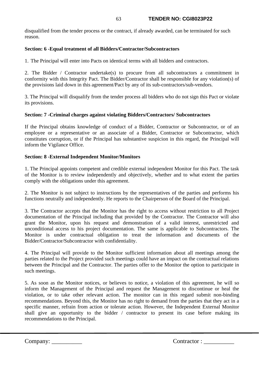disqualified from the tender process or the contract, if already awarded, can be terminated for such reason.

# **Section: 6 -Equal treatment of all Bidders/Contractor/Subcontractors**

1. The Principal will enter into Pacts on identical terms with all bidders and contractors.

2. The Bidder / Contractor undertake(s) to procure from all subcontractors a commitment in conformity with this Integrity Pact. The Bidder/Contractor shall be responsible for any violation(s) of the provisions laid down in this agreement/Pact by any of its sub-contractors/sub-vendors.

3. The Principal will disqualify from the tender process all bidders who do not sign this Pact or violate its provisions.

# **Section: 7 -Criminal charges against violating Bidders/Contractors/ Subcontractors**

If the Principal obtains knowledge of conduct of a Bidder, Contractor or Subcontractor, or of an employee or a representative or an associate of a Bidder, Contractor or Subcontractor, which constitutes corruption, or if the Principal has substantive suspicion in this regard, the Principal will inform the Vigilance Office.

# **Section: 8 -External Independent Monitor/Monitors**

1. The Principal appoints competent and credible external independent Monitor for this Pact. The task of the Monitor is to review independently and objectively, whether and to what extent the parties comply with the obligations under this agreement.

2. The Monitor is not subject to instructions by the representatives of the parties and performs his functions neutrally and independently. He reports to the Chairperson of the Board of the Principal.

3. The Contractor accepts that the Monitor has the right to access without restriction to all Project documentation of the Principal including that provided by the Contractor. The Contractor will also grant the Monitor, upon his request and demonstration of a valid interest, unrestricted and unconditional access to his project documentation. The same is applicable to Subcontractors. The Monitor is under contractual obligation to treat the information and documents of the Bidder/Contractor/Subcontractor with confidentiality.

4. The Principal will provide to the Monitor sufficient information about all meetings among the parties related to the Project provided such meetings could have an impact on the contractual relations between the Principal and the Contractor. The parties offer to the Monitor the option to participate in such meetings.

5. As soon as the Monitor notices, or believes to notice, a violation of this agreement, he will so inform the Management of the Principal and request the Management to discontinue or heal the violation, or to take other relevant action. The monitor can in this regard submit non-binding recommendations. Beyond this, the Monitor has no right to demand from the parties that they act in a specific manner, refrain from action or tolerate action. However, the Independent External Monitor shall give an opportunity to the bidder / contractor to present its case before making its recommendations to the Principal.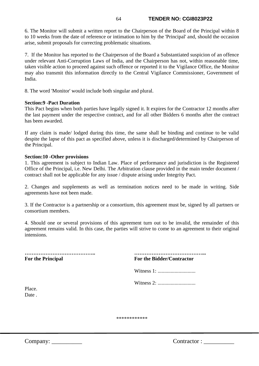6. The Monitor will submit a written report to the Chairperson of the Board of the Principal within 8 to 10 weeks from the date of reference or intimation to him by the 'Principal' and, should the occasion arise, submit proposals for correcting problematic situations.

7. If the Monitor has reported to the Chairperson of the Board a Substantiated suspicion of an offence under relevant Anti-Corruption Laws of India, and the Chairperson has not, within reasonable time, taken visible action to proceed against such offence or reported it to the Vigilance Office, the Monitor may also transmit this information directly to the Central Vigilance Commissioner, Government of India.

8. The word 'Monitor' would include both singular and plural.

### **Section:9 -Pact Duration**

This Pact begins when both parties have legally signed it. It expires for the Contractor 12 months after the last payment under the respective contract, and for all other Bidders 6 months after the contract has been awarded.

If any claim is made/ lodged during this time, the same shall be binding and continue to be valid despite the lapse of this pact as specified above, unless it is discharged/determined by Chairperson of the Principal.

### **Section:10 -Other provisions**

1. This agreement is subject to Indian Law. Place of performance and jurisdiction is the Registered Office of the Principal, i.e. New Delhi. The Arbitration clause provided in the main tender document / contract shall not be applicable for any issue / dispute arising under Integrity Pact.

2. Changes and supplements as well as termination notices need to be made in writing. Side agreements have not been made.

3. If the Contractor is a partnership or a consortium, this agreement must be, signed by all partners or consortium members.

4. Should one or several provisions of this agreement turn out to be invalid, the remainder of this agreement remains valid. In this case, the parties will strive to come to an agreement to their original intensions.

**For the Principal For the Bidder/Contractor**

**………………………………….. …………………………………...**

Witness 1: .............................

Witness 2: .............................

Place. Date .

\*\*\*\*\*\*\*\*\*\*\*\*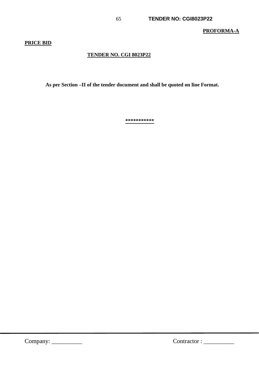**PROFORMA-A**

# **PRICE BID**

# **TENDER NO. CGI 8023P22**

 **As per Section –II of the tender document and shall be quoted on line Format.** 

**\*\*\*\*\*\*\*\*\*\*\***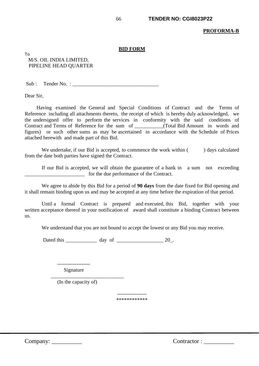### **PROFORMA-B**

### **BID FORM**

To M/S. OIL INDIA LIMITED, PIPELINE HEAD QUARTER

 $Sub:$  Tender No. :

Dear Sir,

Having examined the General and Special Conditions of Contract and the Terms of Reference including all attachments thereto, the receipt of which is hereby duly acknowledged, we the undersigned offer to perform the services in conformity with the said conditions of Contract and Terms of Reference for the sum of  $\qquad$  (Total Bid Amount in words and figures) or such other sums as may be ascertained in accordance with the Schedule of Prices attached herewith and made part of this Bid.

We undertake, if our Bid is accepted, to commence the work within ( ) days calculated from the date both parties have signed the Contract.

 If our Bid is accepted, we will obtain the guarantee of a bank in a sum not exceeding for the due performance of the Contract.

 We agree to abide by this Bid for a period of **90 days** from the date fixed for Bid opening and it shall remain binding upon us and may be accepted at any time before the expiration of that period.

 Until a formal Contract is prepared and executed, this Bid, together with your written acceptance thereof in your notification of award shall constitute a binding Contract between us.

We understand that you are not bound to accept the lowest or any Bid you may receive.

Dated this \_\_\_\_\_\_\_\_\_\_\_\_ day of \_\_\_\_\_\_\_\_\_\_\_\_\_\_\_\_\_\_ 20\_.

 ------------------- Signature  $\frac{1}{\sqrt{2}}$  ,  $\frac{1}{\sqrt{2}}$  ,  $\frac{1}{\sqrt{2}}$  ,  $\frac{1}{\sqrt{2}}$  ,  $\frac{1}{\sqrt{2}}$  ,  $\frac{1}{\sqrt{2}}$  ,  $\frac{1}{\sqrt{2}}$  ,  $\frac{1}{\sqrt{2}}$  ,  $\frac{1}{\sqrt{2}}$  ,  $\frac{1}{\sqrt{2}}$  ,  $\frac{1}{\sqrt{2}}$  ,  $\frac{1}{\sqrt{2}}$  ,  $\frac{1}{\sqrt{2}}$  ,  $\frac{1}{\sqrt{2}}$  ,  $\frac{1}{\sqrt{2}}$ 

(In the capacity of)

----------------- \*\*\*\*\*\*\*\*\*\*\*\*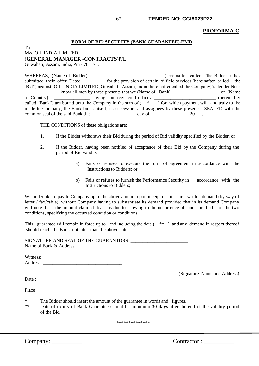### **PROFORMA-C**

#### **FORM OF BID SECURITY (BANK GUARANTEE)-EMD**

To M/s. OIL INDIA LIMITED, (**GENERAL MANAGER -CONTRACTS**)P/L Guwahati, Assam, India, Pin - 781171.

WHEREAS, (Name of Bidder) \_\_\_\_\_\_\_\_\_\_\_\_\_\_\_\_\_\_\_\_\_\_\_\_\_\_\_(hereinafter called "the Bidder") has submitted their offer Dated\_\_\_\_\_\_\_\_\_\_ for the provision of certain oilfield services (hereinafter called "the Bid") against OIL INDIA LIMITED, Guwahati, Assam, India (hereinafter called the Company)'s tender No. : \_\_\_\_\_\_\_\_\_\_\_\_\_\_ know all men by these presents that we (Name of Bank) \_\_\_\_\_\_\_\_\_\_\_\_\_\_\_\_\_\_\_\_ of (Name of Country) having our registered office at called "Bank") are bound unto the Company in the sum of ( \* ) for which payment will and truly to be made to Company, the Bank binds itself, its successors and assignees by these presents. SEALED with the common seal of the said Bank this \_\_\_\_\_\_\_\_\_\_\_\_\_\_\_\_\_\_\_day of \_\_\_\_\_\_\_\_\_\_\_\_\_\_\_\_ 20\_\_\_.

THE CONDITIONS of these obligations are:

- 1. If the Bidder withdraws their Bid during the period of Bid validity specified by the Bidder; or
- 2. If the Bidder, having been notified of acceptance of their Bid by the Company during the period of Bid validity:
	- a) Fails or refuses to execute the form of agreement in accordance with the Instructions to Bidders; or
	- b) Fails or refuses to furnish the Performance Security in accordance with the Instructions to Bidders;

We undertake to pay to Company up to the above amount upon receipt of its first written demand (by way of letter / fax/cable), without Company having to substantiate its demand provided that in its demand Company will note that the amount claimed by it is due to it owing to the occurrence of one or both of the two conditions, specifying the occurred condition or conditions.

This guarantee will remain in force up to and including the date ( \*\* ) and any demand in respect thereof should reach the Bank not later than the above date.

SIGNATURE AND SEAL OF THE GUARANTORS: Name of Bank & Address:

Witness: \_\_\_\_\_\_\_\_\_\_\_\_\_\_\_\_\_\_\_\_\_\_\_\_\_\_\_\_\_\_\_\_ Address :\_\_\_\_\_\_\_\_\_\_\_\_\_\_\_\_\_\_\_\_\_\_\_\_\_\_\_\_\_\_\_\_\_

 $\overline{\phantom{a}}$  ,  $\overline{\phantom{a}}$  ,  $\overline{\phantom{a}}$  ,  $\overline{\phantom{a}}$  ,  $\overline{\phantom{a}}$  ,  $\overline{\phantom{a}}$  ,  $\overline{\phantom{a}}$  ,  $\overline{\phantom{a}}$  ,  $\overline{\phantom{a}}$  ,  $\overline{\phantom{a}}$  ,  $\overline{\phantom{a}}$  ,  $\overline{\phantom{a}}$  ,  $\overline{\phantom{a}}$  ,  $\overline{\phantom{a}}$  ,  $\overline{\phantom{a}}$  ,  $\overline{\phantom{a}}$ 

(Signature, Name and Address)

Date :

Place :

- \* The Bidder should insert the amount of the guarantee in words and figures.
- \*\* Date of expiry of Bank Guarantee should be minimum **30 days** after the end of the validity period of the Bid.

----------------- \*\*\*\*\*\*\*\*\*\*\*\*\*\*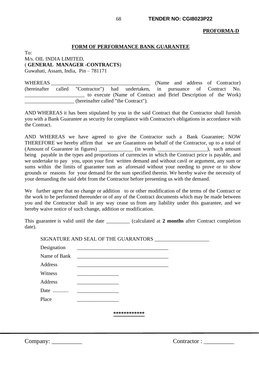### **PROFORMA-D**

### **FORM OF PERFORMANCE BANK GUARANTEE**

 $To^{\dagger}$ M/s. OIL INDIA LIMITED, ( **GENERAL MANAGER -CONTRACTS**)

Guwahati, Assam, India, Pin – 781171

WHEREAS WHEREAS (Name and address of Contractor) (hereinafter called "Contractor") had undertaken, in pursuance of Contract No. to execute (Name of Contract and Brief Description of the Work) \_\_\_\_\_\_\_\_\_\_\_\_\_\_\_\_\_\_\_ (hereinafter called "the Contract").

AND WHEREAS it has been stipulated by you in the said Contract that the Contractor shall furnish you with a Bank Guarantee as security for compliance with Contractor's obligations in accordance with the Contract.

AND WHEREAS we have agreed to give the Contractor such a Bank Guarantee; NOW THEREFORE we hereby affirm that we are Guarantors on behalf of the Contractor, up to a total of (Amount of Guarantee in figures) \_\_\_\_\_\_\_\_\_\_\_\_\_ (in words \_\_\_\_\_\_\_\_\_\_\_\_\_\_\_\_\_\_\_), such amount being payable in the types and proportions of currencies in which the Contract price is payable, and we undertake to pay you, upon your first written demand and without cavil or argument, any sum or sums within the limits of guarantee sum as aforesaid without your needing to prove or to show grounds or reasons for your demand for the sum specified therein. We hereby waive the necessity of your demanding the said debt from the Contractor before presenting us with the demand.

We further agree that no change or addition to or other modification of the terms of the Contract or the work to be performed thereunder or of any of the Contract documents which may be made between you and the Contractor shall in any way cease us from any liability under this guarantee, and we hereby waive notice of such change, addition or modification.

This guarantee is valid until the date \_\_\_\_\_\_\_\_\_ (calculated at **2 months** after Contract completion date).

| Designation  |                                                                                                                      |  |
|--------------|----------------------------------------------------------------------------------------------------------------------|--|
| Name of Bank | <u> 1980 - Andrea Barbara, amerikan personal di sebagai personal di sebagai personal di sebagai personal di seba</u> |  |
| Address      |                                                                                                                      |  |
| Witness      |                                                                                                                      |  |
| Address      |                                                                                                                      |  |
| Date         | the control of the control of the control of the control of                                                          |  |
| Place        |                                                                                                                      |  |
|              |                                                                                                                      |  |
|              | ************                                                                                                         |  |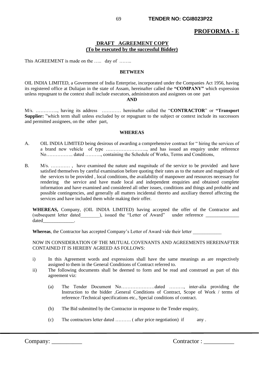# **PROFORMA - E**

# **DRAFT AGREEMENT COPY (To be executed by the successful Bidder)**

This AGREEMENT is made on the ..... day of .......

#### **BETWEEN**

OIL INDIA LIMITED, a Government of India Enterprise, incorporated under the Companies Act 1956, having its registered office at Duliajan in the state of Assam, hereinafter called the **"COMPANY"** which expression unless repugnant to the context shall include executors, administrators and assignees on one part

### **AND**

M/s. ………….., having its address ………… hereinafter called the "**CONTRACTOR**" or **"Transport Supplier:** "which term shall unless excluded by or repugnant to the subject or context include its successors and permitted assignees, on the other part,

#### **WHEREAS**

- A. OIL INDIA LIMITED being desirous of awarding a comprehensive contract for " hiring the services of a brand new vehicle of type …………………….., and has issued an enquiry under reference No…………….. dated ………., containing the Schedule of Works, Terms and Conditions,
- B. M/s. ………… , have examined the nature and magnitude of the service to be provided and have satisfied themselves by careful examination before quoting their rates as to the nature and magnitude of the services to be provided , local conditions, the availability of manpower and resources necessary for rendering the service and have made local and independent enquiries and obtained complete information and have examined and considered all other issues, conditions and things and probable and possible contingencies, and generally all matters incidental thereto and auxiliary thereof affecting the services and have included them while making their offer.

**WHEREAS,** Company, (OIL INDIA LIMITED) having accepted the offer of the Contractor and (subsequent letter dated ), issued the "Letter of Award" under reference \_\_\_\_\_\_\_\_\_\_\_\_\_\_ dated

**Whereas**, the Contractor has accepted Company's Letter of Award vide their letter \_\_\_\_\_\_\_\_\_\_\_\_

NOW IN CONSIDERATION OF THE MUTUAL COVENANTS AND AGREEMENTS HEREINAFTER CONTAINED IT IS HEREBY AGREED AS FOLLOWS:

- i) In this Agreement words and expressions shall have the same meanings as are respectively assigned to them in the General Conditions of Contract referred to.
- ii) The following documents shall be deemed to form and be read and construed as part of this agreement viz:
	- (a) The Tender Document No…………………dated ………, inter-alia providing the Instruction to the bidder ,General Conditions of Contract, Scope of Work / terms of reference /Technical specifications etc., Special conditions of contract.
	- (b) The Bid submitted by the Contractor in response to the Tender enquiry,
	- (c) The contractors letter dated ………. ( after price negotiation) if any .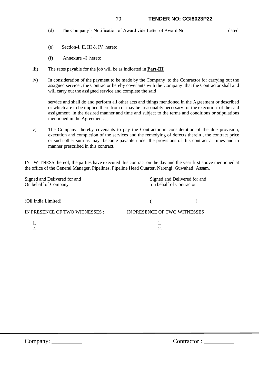- (d) The Company's Notification of Award vide Letter of Award No. \_\_\_\_\_\_\_\_\_\_\_\_ dated
- (e) Section-I, II, III & IV hereto.
- (f) Annexure –I hereto

\_\_\_\_\_\_\_\_\_\_\_\_.

- iii) The rates payable for the job will be as indicated in **Part-III**
- iv) In consideration of the payment to be made by the Company to the Contractor for carrying out the assigned service , the Contractor hereby covenants with the Company that the Contractor shall and will carry out the assigned service and complete the said

service and shall do and perform all other acts and things mentioned in the Agreement or described or which are to be implied there from or may be reasonably necessary for the execution of the said assignment in the desired manner and time and subject to the terms and conditions or stipulations mentioned in the Agreement.

v) The Company hereby covenants to pay the Contractor in consideration of the due provision, execution and completion of the services and the remedying of defects therein , the contract price or such other sum as may become payable under the provisions of this contract at times and in manner prescribed in this contract.

IN WITNESS thereof, the parties have executed this contract on the day and the year first above mentioned at the office of the General Manager, Pipelines, Pipeline Head Quarter, Narengi, Guwahati, Assam.

| Signed and Delivered for and<br>On behalf of Company | Signed and Delivered for and<br>on behalf of Contractor |  |  |
|------------------------------------------------------|---------------------------------------------------------|--|--|
| (Oil India Limited)                                  |                                                         |  |  |
| IN PRESENCE OF TWO WITNESSES :                       | IN PRESENCE OF TWO WITNESSES                            |  |  |
| $\overline{2}$ .                                     | 2.                                                      |  |  |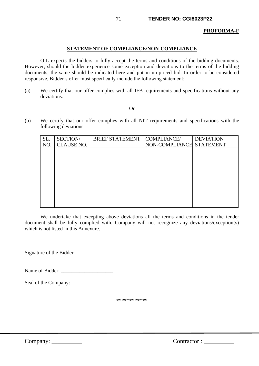# **STATEMENT OF COMPLIANCE/NON-COMPLIANCE**

OIL expects the bidders to fully accept the terms and conditions of the bidding documents. However, should the bidder experience some exception and deviations to the terms of the bidding documents, the same should be indicated here and put in un-priced bid. In order to be considered responsive, Bidder's offer must specifically include the following statement:

(a) We certify that our offer complies with all IFB requirements and specifications without any deviations.

### Or

(b) We certify that our offer complies with all NIT requirements and specifications with the following deviations:

| SL. | SECTION/   | <b>BRIEF STATEMENT</b> | COMPLIANCE/              | <b>DEVIATION</b> |
|-----|------------|------------------------|--------------------------|------------------|
| NO. | CLAUSE NO. |                        | NON-COMPLIANCE STATEMENT |                  |
|     |            |                        |                          |                  |
|     |            |                        |                          |                  |
|     |            |                        |                          |                  |
|     |            |                        |                          |                  |
|     |            |                        |                          |                  |
|     |            |                        |                          |                  |
|     |            |                        |                          |                  |
|     |            |                        |                          |                  |
|     |            |                        |                          |                  |
|     |            |                        |                          |                  |

We undertake that excepting above deviations all the terms and conditions in the tender document shall be fully complied with. Company will not recognize any deviations/exception(s) which is not listed in this Annexure.

Signature of the Bidder

Name of Bidder: \_\_\_\_\_\_\_\_\_\_\_\_\_\_\_\_\_\_\_\_

\_\_\_\_\_\_\_\_\_\_\_\_\_\_\_\_\_\_\_\_\_\_\_\_\_\_\_\_\_\_\_\_\_\_

Seal of the Company:

----------------- \*\*\*\*\*\*\*\*\*\*\*\*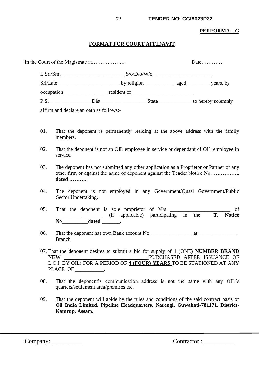# **PERFORMA – G**

# **FORMAT FOR COURT AFFIDAVIT**

|                                                                            |                                      | S/O/D/O/W/O                                |  |                    |  |
|----------------------------------------------------------------------------|--------------------------------------|--------------------------------------------|--|--------------------|--|
| Sri/Late                                                                   |                                      | by religion $\qquad \qquad$<br>resident of |  |                    |  |
| occupation                                                                 | <u> 1980 - Jan Barat, primeira e</u> |                                            |  |                    |  |
| P.S.                                                                       |                                      | State                                      |  | to hereby solemnly |  |
| $\sim$<br>$\mathbf{1}$ $\mathbf{1}$ $\mathbf{1}$ $\mathbf{1}$ $\mathbf{1}$ | $\sim$ 11 $\sim$ 11                  |                                            |  |                    |  |

affirm and declare an oath as follows:-

- 01. That the deponent is permanently residing at the above address with the family members.
- 02. That the deponent is not an OIL employee in service or dependant of OIL employee in service.
- 03. The deponent has not submitted any other application as a Proprietor or Partner of any other firm or against the name of deponent against the Tender Notice No…**………….. dated ……….**
- 04. The deponent is not employed in any Government/Quasi Government/Public Sector Undertaking.
- 05. That the deponent is sole proprietor of  $M/s$   $\qquad \qquad$  of \_\_\_\_\_\_\_\_\_\_\_\_\_\_\_\_\_\_ (if applicable) participating in the **T. Notice No**\_\_\_\_\_\_\_\_\_\_**dated** \_\_\_\_\_\_\_.
- 06. That the deponent has own Bank account No \_\_\_\_\_\_\_\_\_\_\_\_\_\_\_\_ at \_\_\_\_\_\_\_\_\_\_\_\_\_\_\_ Branch
- 07. That the deponent desires to submit a bid for supply of 1 (ONE**) NUMBER BRAND NEW \_\_\_\_\_\_\_\_\_\_\_\_\_\_\_\_\_\_\_\_\_\_\_\_\_\_\_\_\_\_\_\_**(PURCHASED AFTER ISSUANCE OF L.O.I. BY OIL) FOR A PERIOD OF **4 (FOUR) YEARS** TO BE STATIONED AT ANY PLACE OF THE REAL PLACE OF
- 08. That the deponent's communication address is not the same with any OIL's quarters/settlement area/premises etc.
- 09. That the deponent will abide by the rules and conditions of the said contract basis of **Oil India Limited, Pipeline Headquarters, Narengi, Guwahati-781171, District-Kamrup, Assam.**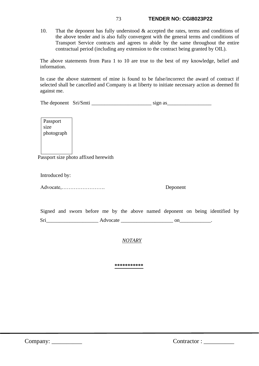#### 73 **TENDER NO: CGI8023P22**

10. That the deponent has fully understood & accepted the rates, terms and conditions of the above tender and is also fully convergent with the general terms and conditions of Transport Service contracts and agrees to abide by the same throughout the entire contractual period (including any extension to the contract being granted by OIL).

The above statements from Para 1 to 10 are true to the best of my knowledge, belief and information.

In case the above statement of mine is found to be false/incorrect the award of contract if selected shall be cancelled and Company is at liberty to initiate necessary action as deemed fit against me.

| The deponent Sri/Smti |  | sign as |
|-----------------------|--|---------|
|-----------------------|--|---------|

Passport size photograph

Passport size photo affixed herewith

Introduced by:

Advocate,……………………. Deponent

|     |  |          |  |  |  | Signed and sworn before me by the above named deponent on being identified by |  |
|-----|--|----------|--|--|--|-------------------------------------------------------------------------------|--|
| Sri |  | Advocate |  |  |  |                                                                               |  |

*NOTARY*

**\*\*\*\*\*\*\*\*\*\*\***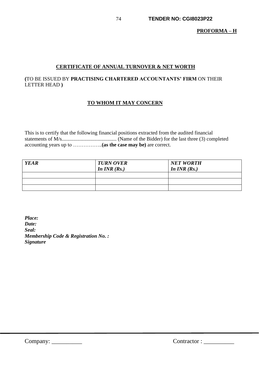#### **PROFORMA – H**

### **CERTIFICATE OF ANNUAL TURNOVER & NET WORTH**

# **(**TO BE ISSUED BY **PRACTISING CHARTERED ACCOUNTANTS' FIRM** ON THEIR LETTER HEAD **)**

# **TO WHOM IT MAY CONCERN**

This is to certify that the following financial positions extracted from the audited financial statements of M/s.......................................... (Name of the Bidder) for the last three (3) completed accounting years up to ……………..**(as the case may be)** are correct.

| <b>YEAR</b> | <b>TURN OVER</b><br>In $INR(Rs.)$ | <b>NET WORTH</b><br>In $INR(Rs.)$ |
|-------------|-----------------------------------|-----------------------------------|
|             |                                   |                                   |
|             |                                   |                                   |
|             |                                   |                                   |

*Place: Date: Seal: Membership Code & Registration No. : Signature*

Company: \_\_\_\_\_\_\_\_\_\_ Contractor : \_\_\_\_\_\_\_\_\_\_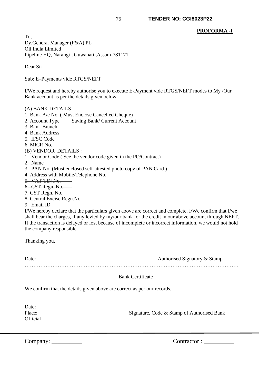#### **PROFORMA -I**

To, Dy.General Manager (F&A) PL Oil India Limited Pipeline HQ, Narangi , Guwahati ,Assam-781171

Dear Sir,

Sub: E–Payments vide RTGS/NEFT

I/We request and hereby authorise you to execute E-Payment vide RTGS/NEFT modes to My /Our Bank account as per the details given below:

#### (A) BANK DETAILS

- 1. Bank A/c No. ( Must Enclose Cancelled Cheque)
- 2. Account Type Saving Bank/ Current Account
- 3. Bank Branch
- 4. Bank Address
- 5. IFSC Code
- 6. MICR No.
- (B) VENDOR DETAILS :
- 1. Vendor Code ( See the vendor code given in the PO/Contract)
- 2. Name
- 3. PAN No. (Must enclosed self-attested photo copy of PAN Card )
- 4. Address with Mobile/Telephone No.
- 5. VAT TIN No.
- 6. CST Regn. No.
- 7. GST Regn. No.
- 8. Central Excise Regn.No.

#### 9. Email ID

I/We hereby declare that the particulars given above are correct and complete. I/We confirm that I/we shall bear the charges, if any levied by my/our bank for the credit in our above account through NEFT. If the transaction is delayed or lost because of incomplete or incorrect information, we would not hold the company responsible.

Thanking you,

Date: Authorised Signatory & Stamp ……………………………………………………………………………………………………………

### Bank Certificate

We confirm that the details given above are correct as per our records.

Date: **Official** 

Place: Signature, Code & Stamp of Authorised Bank

 $\frac{1}{\sqrt{2}}$  ,  $\frac{1}{\sqrt{2}}$  ,  $\frac{1}{\sqrt{2}}$  ,  $\frac{1}{\sqrt{2}}$  ,  $\frac{1}{\sqrt{2}}$  ,  $\frac{1}{\sqrt{2}}$  ,  $\frac{1}{\sqrt{2}}$  ,  $\frac{1}{\sqrt{2}}$  ,  $\frac{1}{\sqrt{2}}$  ,  $\frac{1}{\sqrt{2}}$  ,  $\frac{1}{\sqrt{2}}$  ,  $\frac{1}{\sqrt{2}}$  ,  $\frac{1}{\sqrt{2}}$  ,  $\frac{1}{\sqrt{2}}$  ,  $\frac{1}{\sqrt{2}}$ 

Company: \_\_\_\_\_\_\_\_\_\_ Contractor : \_\_\_\_\_\_\_\_\_\_